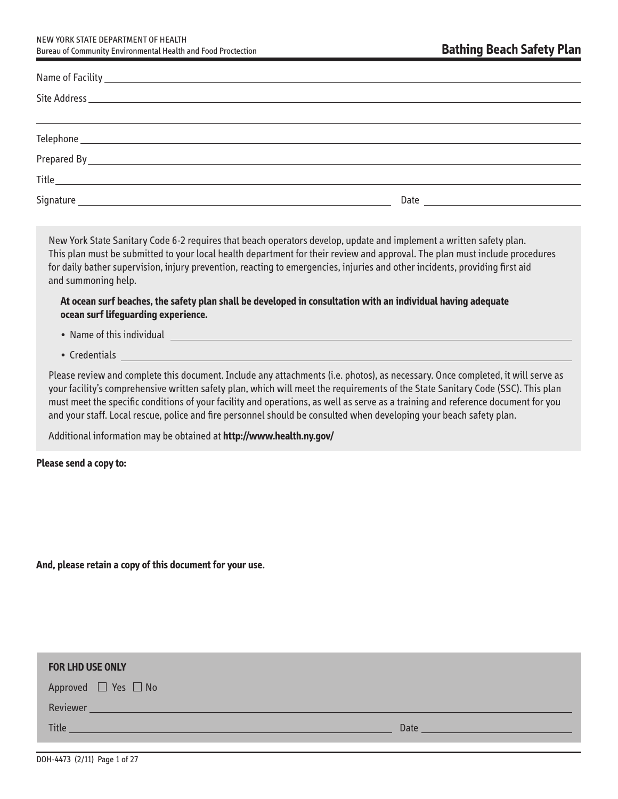NEW YORK STATE DEPARTMENT OF HEALTH Bureau of Community Environmental Health and Food Proctection

| $\begin{tabular}{c} \hline \textbf{Title} & \textbf{m} & \textbf{m} & \textbf{m} \\ \hline \end{tabular}$                                                                                                                     |  |
|-------------------------------------------------------------------------------------------------------------------------------------------------------------------------------------------------------------------------------|--|
| Signature and the state of the state of the state of the state of the state of the state of the state of the state of the state of the state of the state of the state of the state of the state of the state of the state of |  |

New York State Sanitary Code 6-2 requires that beach operators develop, update and implement a written safety plan. This plan must be submitted to your local health department for their review and approval. The plan must include procedures for daily bather supervision, injury prevention, reacting to emergencies, injuries and other incidents, providing first aid and summoning help.

**At ocean surf beaches, the safety plan shall be developed in consultation with an individual having adequate ocean surf lifeguarding experience.** 

- Name of this individual
- Credentials

Please review and complete this document. Include any attachments (i.e. photos), as necessary. Once completed, it will serve as your facility's comprehensive written safety plan, which will meet the requirements of the State Sanitary Code (SSC). This plan must meet the specific conditions of your facility and operations, as well as serve as a training and reference document for you and your staff. Local rescue, police and fire personnel should be consulted when developing your beach safety plan.

Additional information may be obtained at **http://www.health.ny.gov/** 

**Please send a copy to:** 

**And, please retain a copy of this document for your use.** 

| <b>FOR LHD USE ONLY</b>                                                                                                                                                                                                                        |                                                                                                   |
|------------------------------------------------------------------------------------------------------------------------------------------------------------------------------------------------------------------------------------------------|---------------------------------------------------------------------------------------------------|
| Approved □ Yes □ No                                                                                                                                                                                                                            |                                                                                                   |
| Reviewer                                                                                                                                                                                                                                       |                                                                                                   |
| <b>Title</b><br>a series and the control of the control of the control of the control of the control of the control of the control of the control of the control of the control of the control of the control of the control of the control of | Date<br>the control of the control of the control of the control of the control of the control of |
|                                                                                                                                                                                                                                                |                                                                                                   |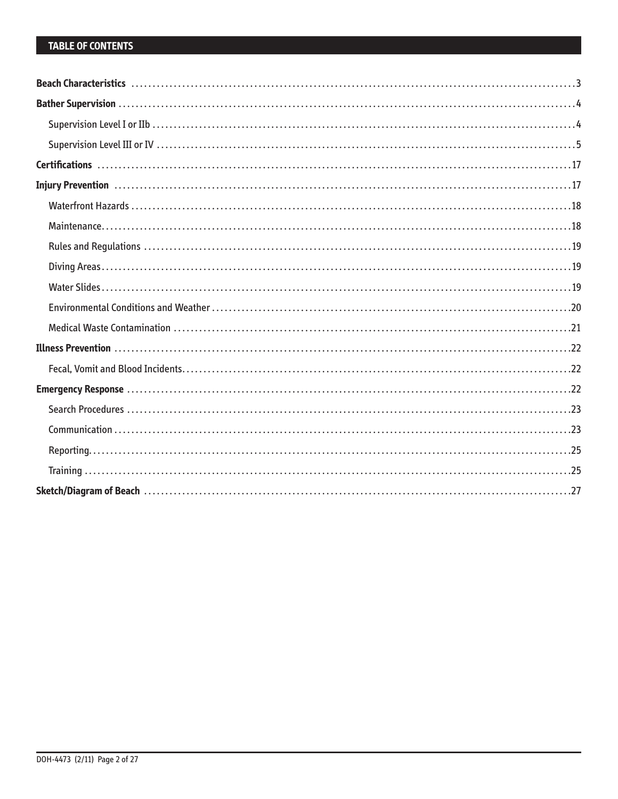# **TABLE OF CONTENTS**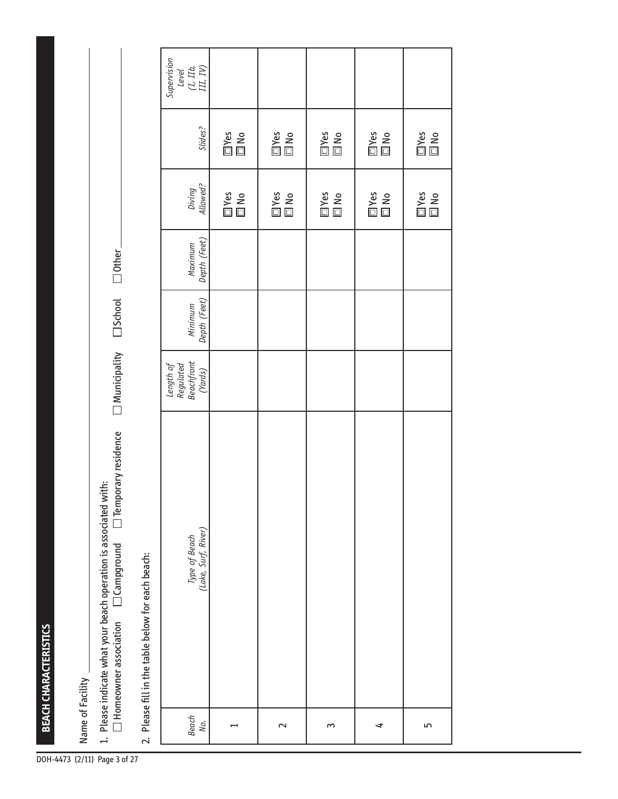Ranch CHARACTERISTICS<br>-4433 (27 Mame of Facility <u>Internation beach operation is associated with: Homeowner associated with: Homeowner association Campground Temporary residence  $\Box$  Municipality  $\Box$  School  $\Box$  Other  $\frac$ 

2 . Please fill in the table below for each beach:

|                                                                                                                                                                                                                               | Supervision<br>$\begin{array}{c} \textit{Level} \\ \textit{(I, I1b,} \\ \textit{III, IV)} \end{array}$ |            |                     |                     |                         |                            |
|-------------------------------------------------------------------------------------------------------------------------------------------------------------------------------------------------------------------------------|--------------------------------------------------------------------------------------------------------|------------|---------------------|---------------------|-------------------------|----------------------------|
|                                                                                                                                                                                                                               | Slides?                                                                                                | $\Box$ Yes | 回Yes<br>回 No        | 回Yes<br>回 No        | $\square$ Yes $\square$ | $\square$ Yes $\square$ No |
|                                                                                                                                                                                                                               | Diving<br>Allowed?                                                                                     | In No      | I<br>II No<br>II No | <b>□Yes</b><br>□ No | $\square$ Yes $\square$ | <b>□Yes</b><br>□ No        |
|                                                                                                                                                                                                                               | Maximum<br>Depth (Feet)                                                                                |            |                     |                     |                         |                            |
|                                                                                                                                                                                                                               | Minimum<br>Depth (Feet)                                                                                |            |                     |                     |                         |                            |
|                                                                                                                                                                                                                               | Length of<br>Regulated<br>Beachfront<br>(Yards)                                                        |            |                     |                     |                         |                            |
| stream in the first fill in the first property of the stream of the stream of the stream of the stream of the stream of the stream of the stream of the stream of the stream of the stream of the stream of the stream of the | Type of Beach<br>(Lake, Surf, River)                                                                   |            |                     |                     |                         |                            |
|                                                                                                                                                                                                                               | Beach<br>No.                                                                                           |            | $\sim$              | $\sim$              | 4                       | 5                          |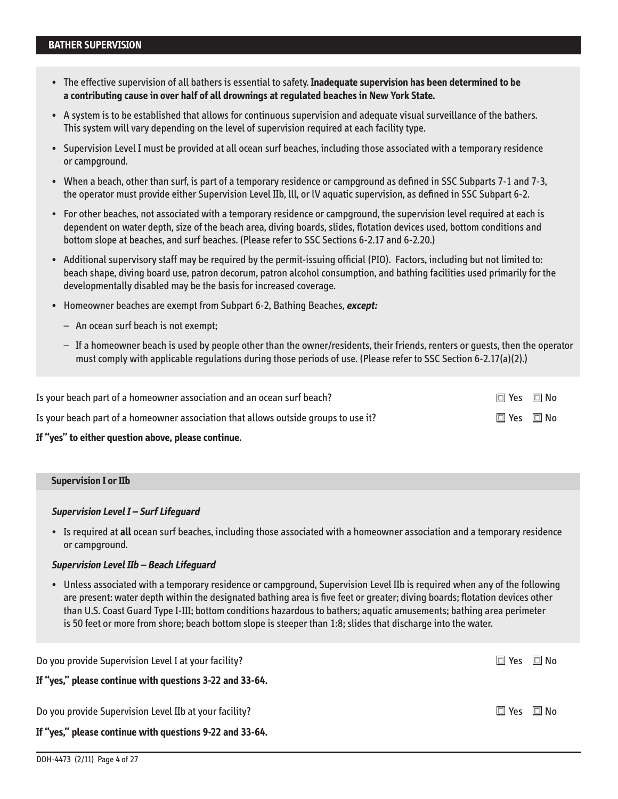- • � The effective supervision of all bathers is essential to safety . **Inadequate supervision has been determined to be a contributing cause in over half of all drownings at regulated beaches in New York State.**
- A system is to be established that allows for continuous supervision and adequate visual surveillance of the bathers. This system will vary depending on the level of supervision required at each facility type.
- • � Supervision Level I must be provided at all ocean surf beaches, including those associated with a temporary residence or campground.
- • �When a beach, other than surf, is part of a temporary residence or campground as defined in SSC Subparts 7-1 and 7-3, the operator must provide either Supervision Level IIb, lll, or lV aquatic supervision, as defined in SSC Subpart 6-2 .
- For other beaches, not associated with a temporary residence or campground, the supervision level required at each is dependent on water depth, size of the beach area, diving boards, slides, flotation devices used, bottom conditions and bottom slope at beaches, and surf beaches. (Please refer to SSC Sections 6-2.17 and 6-2.20.)
- • � Additional supervisory staff may be required by the permit-issuing official (PIO) . Factors, including but not limited to: beach shape, diving board use, patron decorum, patron alcohol consumption, and bathing facilities used primarily for the developmentally disabled may be the basis for increased coverage.
- Homeowner beaches are exempt from Subpart 6-2, Bathing Beaches, **except:** 
	- An ocean surf beach is not exempt;
	- $-$  If a homeowner beach is used by people other than the owner/residents, their friends, renters or quests, then the operator must comply with applicable regulations during those periods of use . (Please refer to SSC Section 6-2 .17(a)(2) .)

| Is your beach part of a homeowner association and an ocean surf beach?              | $\square$ Yes $\square$ No |  |
|-------------------------------------------------------------------------------------|----------------------------|--|
| Is your beach part of a homeowner association that allows outside groups to use it? | $\Box$ Yes $\Box$ No       |  |
|                                                                                     |                            |  |

### **If "yes" to either question above, please continue.**

| <b>Supervision I or IIb</b> |
|-----------------------------|
|-----------------------------|

#### **Supervision Level I – Surf Lifeguard**

• �Is required at **all** ocean surf beaches, including those associated with a homeowner association and a temporary residence or campground.

#### **Supervision Level IIb – Beach Lifeguard**

• �Unless associated with a temporary residence or campground, Supervision Level IIb is required when any of the following are present: water depth within the designated bathing area is five feet or greater; diving boards; flotation devices other than U.S. Coast Guard Type I-III; bottom conditions hazardous to bathers; aquatic amusements; bathing area perimeter is 50 feet or more from shore; beach bottom slope is steeper than 1:8; slides that discharge into the water .

| Do you provide Supervision Level I at your facility?                                                               | $\Box$ Yes | $\Box$ No |
|--------------------------------------------------------------------------------------------------------------------|------------|-----------|
| If "yes," please continue with questions 3-22 and 33-64.                                                           |            |           |
| Do you provide Supervision Level IIb at your facility?<br>If "yes," please continue with questions 9-22 and 33-64. | □ Yes □ No |           |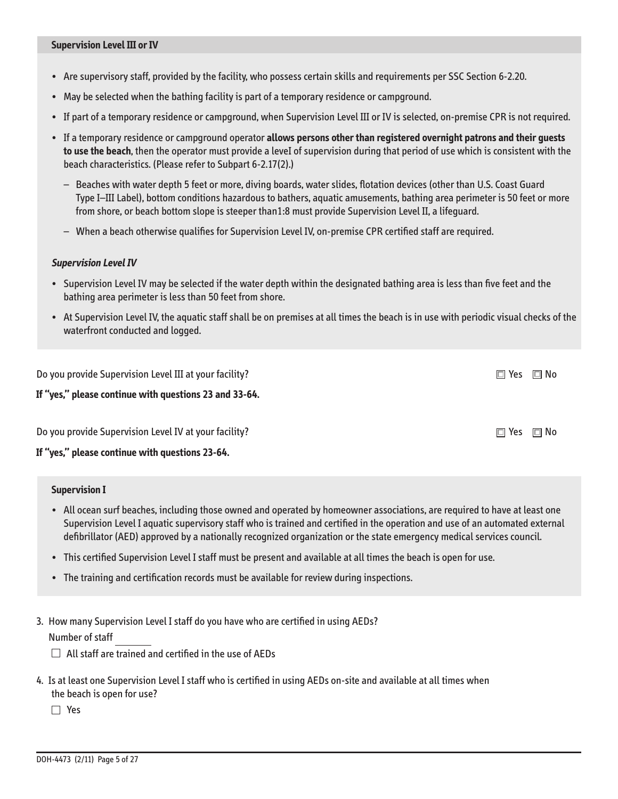- Are supervisory staff, provided by the facility, who possess certain skills and requirements per SSC Section 6-2 .20 .
- May be selected when the bathing facility is part of a temporary residence or campground .
- If part of a temporary residence or campground, when Supervision Level III or IV is selected, on-premise CPR is not required.
- If a temporary residence or campground operator **allows persons other than registered overnight patrons and their guests to use the beach**, then the operator must provide a leveI of supervision during that period of use which is consistent with the beach characteristics. (Please refer to Subpart 6-2.17(2).)
	- Beaches with water depth 5 feet or more, diving boards, water slides, flotation devices (other than U .S . Coast Guard Type I–III Label), bottom conditions hazardous to bathers, aquatic amusements, bathing area perimeter is 50 feet or more from shore, or beach bottom slope is steeper than1:8 must provide Supervision Level II, a lifeguard.
	- When a beach otherwise qualifies for Supervision Level IV, on-premise CPR certified staff are required .

#### **Supervision Level Iv**

- Supervision Level IV may be selected if the water depth within the designated bathing area is less than five feet and the bathing area perimeter is less than 50 feet from shore.
- At Supervision Level IV, the aquatic staff shall be on premises at all times the beach is in use with periodic visual checks of the waterfront conducted and logged.

Do you provide Supervision Level III at your facility?  $\Box$  Yes  $\Box$  Yes  $\Box$  No  $\Box$  Yes  $\Box$  No  $\Box$ **If "yes," please continue with questions 23 and 33-64.**  Do you provide Supervision Level IV at your facility?  $\Box$  Yes  $\Box$  Yes  $\Box$  No

**If "yes," please continue with questions 23-64.** 

#### **Supervision I**

- All ocean surf beaches, including those owned and operated by homeowner associations, are required to have at least one Supervision Level I aquatic supervisory staff who is trained and certified in the operation and use of an automated external defibrillator (AED) approved by a nationally recognized organization or the state emergency medical services council .
- This certified Supervision Level I staff must be present and available at all times the beach is open for use .
- The training and certification records must be available for review during inspections.
- 3 . How many Supervision Level I staff do you have who are certified in using AEDs?

Number of staff

 $\Box$  All staff are trained and certified in the use of AEDs

4 . Is at least one Supervision Level I staff who is certified in using AEDs on-site and available at all times when the beach is open for use?

Yes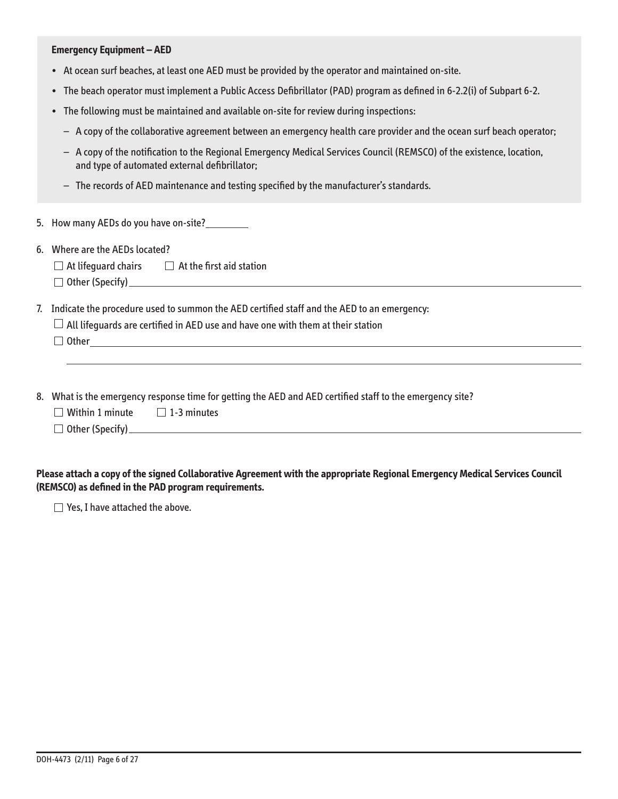#### **Emergency Equipment – AED**

- At ocean surf beaches, at least one AED must be provided by the operator and maintained on-site.
- The beach operator must implement a Public Access Defibrillator (PAD) program as defined in 6-2.2(i) of Subpart 6-2.
- The following must be maintained and available on-site for review during inspections:
	- A copy of the collaborative agreement between an emergency health care provider and the ocean surf beach operator;
	- – �A copy of the notification to the Regional Emergency Medical Services Council (REMSCO) of the existence, location, and type of automated external defibrillator;
	- $-$  The records of AED maintenance and testing specified by the manufacturer's standards.
- 5 . How many AEDs do you have on-site?
- 6. Where are the AEDs located?
	- $\Box$  At lifeguard chairs  $\Box$  At the first aid station
	- Other (Specify)\_

7. Indicate the procedure used to summon the AED certified staff and the AED to an emergency:

| $\Box$ All lifequards are certified in AED use and have one with them at their station |  |
|----------------------------------------------------------------------------------------|--|
|----------------------------------------------------------------------------------------|--|

 $\Box$  Other  $\Box$ 

- 8 . What is the emergency response time for getting the AED and AED certified staff to the emergency site?
	- $\Box$  Within 1 minute  $\Box$  1-3 minutes
	- Other (Specify) �

**Please attach a copy of the signed Collaborative Agreement with the appropriate Regional Emergency Medical Services Council (REMSCO) as defined in the PAD program requirements.** 

 $\Box$  Yes, I have attached the above.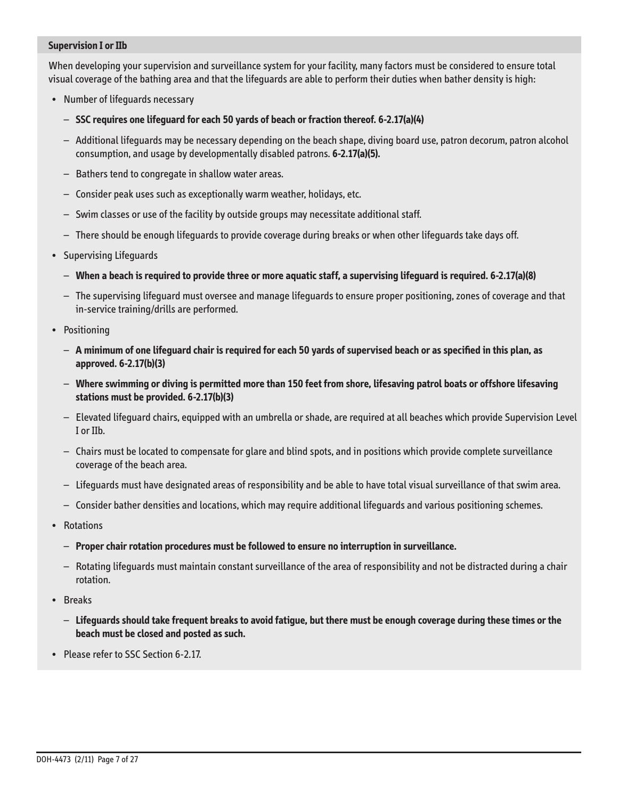### **Supervision I or IIb**

When developing your supervision and surveillance system for your facility, many factors must be considered to ensure total visual coverage of the bathing area and that the lifeguards are able to perform their duties when bather density is high:

- Number of lifeguards necessary
	- **SSC requires one lifeguard for each 50 yards of beach or fraction thereof. 6-2.17(a)(4)**
	- Additional lifeguards may be necessary depending on the beach shape, diving board use, patron decorum, patron alcohol consumption, and usage by developmentally disabled patrons . **6-2.17(a)(5).**
	- Bathers tend to congregate in shallow water areas .
	- Consider peak uses such as exceptionally warm weather, holidays, etc .
	- Swim classes or use of the facility by outside groups may necessitate additional staff .
	- There should be enough lifeguards to provide coverage during breaks or when other lifeguards take days off .
- Supervising Lifeguards
	- **When a beach is required to provide three or more aquatic staff, a supervising lifeguard is required. 6-2.17(a)(8)**
	- The supervising lifeguard must oversee and manage lifeguards to ensure proper positioning, zones of coverage and that in-service training/drills are performed.
- Positioning
	- **A minimum of one lifeguard chair is required for each 50 yards of supervised beach or as specified in this plan, as approved. 6-2.17(b)(3)**
	- **Where swimming or diving is permitted more than 150 feet from shore, lifesaving patrol boats or offshore lifesaving stations must be provided. 6-2.17(b)(3)**
	- Elevated lifeguard chairs, equipped with an umbrella or shade, are required at all beaches which provide Supervision Level I or IIb.
	- Chairs must be located to compensate for glare and blind spots, and in positions which provide complete surveillance coverage of the beach area.
	- Lifeguards must have designated areas of responsibility and be able to have total visual surveillance of that swim area .
	- Consider bather densities and locations, which may require additional lifeguards and various positioning schemes .
- Rotations
	- **Proper chair rotation procedures must be followed to ensure no interruption in surveillance.**
	- Rotating lifeguards must maintain constant surveillance of the area of responsibility and not be distracted during a chair rotation.
- Breaks
	- **Lifeguards should take frequent breaks to avoid fatigue, but there must be enough coverage during these times or the beach must be closed and posted as such.**
- Please refer to SSC Section 6-2.17.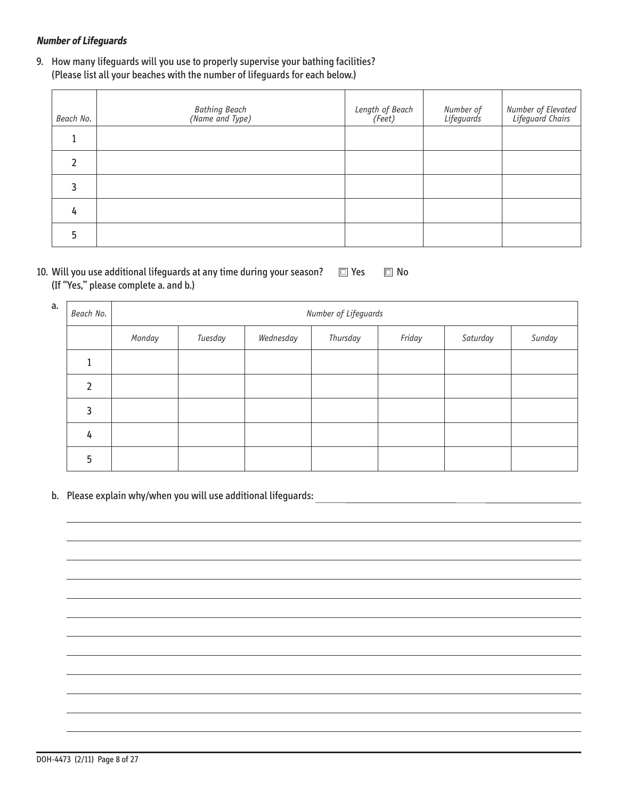# **Number of Lifeguards**

9. How many lifeguards will you use to properly supervise your bathing facilities? (Please list all your beaches with the number of lifeguards for each below .)

| Beach No. | Bathing Beach<br>(Name and Type) | Length of Beach<br>(Feet) | Number of<br>Lifeguards | Number of Elevated<br>  Lifeguard Chairs |
|-----------|----------------------------------|---------------------------|-------------------------|------------------------------------------|
|           |                                  |                           |                         |                                          |
|           |                                  |                           |                         |                                          |
|           |                                  |                           |                         |                                          |
| 4         |                                  |                           |                         |                                          |
|           |                                  |                           |                         |                                          |

| 10. Will you use additional lifequards at any time during your season? $\square$ Yes $\square$ No |  |
|---------------------------------------------------------------------------------------------------|--|
| (If "Yes," please complete a. and b.)                                                             |  |

| a. | Beach No. | Number of Lifeguards |         |           |          |        |          |        |
|----|-----------|----------------------|---------|-----------|----------|--------|----------|--------|
|    |           | Monday               | Tuesday | Wednesday | Thursday | Friday | Saturday | Sunday |
|    |           |                      |         |           |          |        |          |        |
|    | ำ         |                      |         |           |          |        |          |        |
|    | 3         |                      |         |           |          |        |          |        |
|    | 4         |                      |         |           |          |        |          |        |
|    | 5         |                      |         |           |          |        |          |        |

b. Please explain why/when you will use additional lifeguards: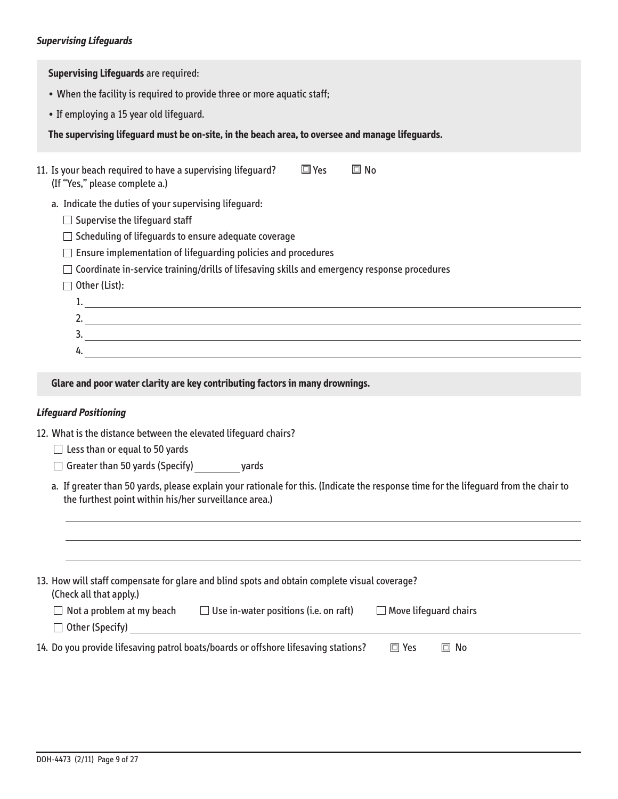### **Supervising Lifeguards**

**Supervising Lifeguards** are required:

- When the facility is required to provide three or more aquatic staff;
- If employing a 15 year old lifeguard.

**The supervising lifeguard must be on-site, in the beach area, to oversee and manage lifeguards.** 

| 11. Is your beach required to have a supervising lifequard?<br>(If "Yes," please complete a.)       | l⊟ Yes | ⊡l No |
|-----------------------------------------------------------------------------------------------------|--------|-------|
| a. Indicate the duties of your supervising lifequard:<br>$\Box$ Supervise the lifequard staff       |        |       |
| $\Box$ Scheduling of lifequards to ensure adequate coverage                                         |        |       |
| $\Box$ Ensure implementation of lifequarding policies and procedures                                |        |       |
| $\Box$ Coordinate in-service training/drills of lifesaving skills and emergency response procedures |        |       |
| $\Box$ Other (List):                                                                                |        |       |
|                                                                                                     |        |       |
| 2.                                                                                                  |        |       |
| 3.                                                                                                  |        |       |

### **Glare and poor water clarity are key contributing factors in many drownings.**

### **Lifeguard Positioning**

4.

12. What is the distance between the elevated lifequard chairs?

- $\Box$  Less than or equal to 50 yards
- $\Box$  Greater than 50 yards (Specify) yards
- a. If greater than 50 yards, please explain your rationale for this. (Indicate the response time for the lifeguard from the chair to the furthest point within his/her surveillance area.)

| 13. How will staff compensate for glare and blind spots and obtain complete visual coverage?<br>(Check all that apply.) |                                                                                    |                              |           |  |  |
|-------------------------------------------------------------------------------------------------------------------------|------------------------------------------------------------------------------------|------------------------------|-----------|--|--|
| $\Box$ Not a problem at my beach                                                                                        | $\Box$ Use in-water positions (i.e. on raft)                                       | $\Box$ Move lifequard chairs |           |  |  |
| $\Box$ Other (Specify)                                                                                                  |                                                                                    |                              |           |  |  |
|                                                                                                                         | 14. Do you provide lifesaving patrol boats/boards or offshore lifesaving stations? | $\Box$ Yes                   | $\Box$ No |  |  |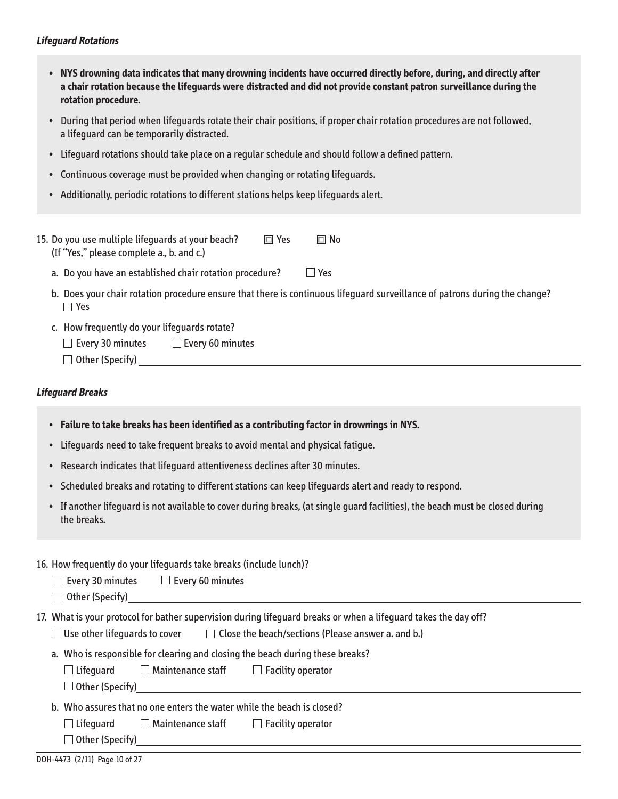### **Lifeguard Rotations**

- • �**NYS drowning data indicates that many drowning incidents have occurred directly before, during, and directly after a chair rotation because the lifeguards were distracted and did not provide constant patron surveillance during the rotation procedure.**
- • �During that period when lifeguards rotate their chair positions, if proper chair rotation procedures are not followed, a lifeguard can be temporarily distracted.
- Lifeguard rotations should take place on a regular schedule and should follow a defined pattern.
- Continuous coverage must be provided when changing or rotating lifeguards.
- Additionally, periodic rotations to different stations helps keep lifequards alert.

| 15. Do you use multiple lifequards at your beach? | $\Box$ Yes | l⊟l No |
|---------------------------------------------------|------------|--------|
| (If "Yes," please complete a., b. and c.)         |            |        |

- a. Do you have an established chair rotation procedure?  $\Box$  Yes
- b. Does your chair rotation procedure ensure that there is continuous lifeguard surveillance of patrons during the change?<br>  $\Box$  Yes
- c. How frequently do your lifeguards rotate?
	- $\Box$  Every 30 minutes  $\Box$  Every 60 minutes
	- Other (Specify) �

### **Lifeguard Breaks**

- Failure to take breaks has been identified as a contributing factor in drownings in NYS.
- Lifeguards need to take frequent breaks to avoid mental and physical fatigue.
- Research indicates that lifeguard attentiveness declines after 30 minutes.
- Scheduled breaks and rotating to different stations can keep lifeguards alert and ready to respond.
- • �If another lifeguard is not available to cover during breaks, (at single guard facilities), the beach must be closed during the breaks.

### 16 . How frequently do your lifeguards take breaks (include lunch)?

- $\Box$  Every 30 minutes  $\Box$  Every 60 minutes
- Other (Specify)

17 . What is your protocol for bather supervision during lifeguard breaks or when a lifeguard takes the day off?

- $\Box$  Use other lifeguards to cover  $\Box$  Close the beach/sections (Please answer a. and b.)
- a. Who is responsible for clearing and closing the beach during these breaks?

| $\Box$ Lifeguard<br>$\Box$ Maintenance staff | $\Box$ Facility operator |
|----------------------------------------------|--------------------------|
|----------------------------------------------|--------------------------|

Other (Specify)

b. Who assures that no one enters the water while the beach is closed?

 $\begin{array}{c} \end{array}$  $\Box$  Lifeguard  $\Box$  Maintenance staff  $\Box$  Facility operator

Other (Specify)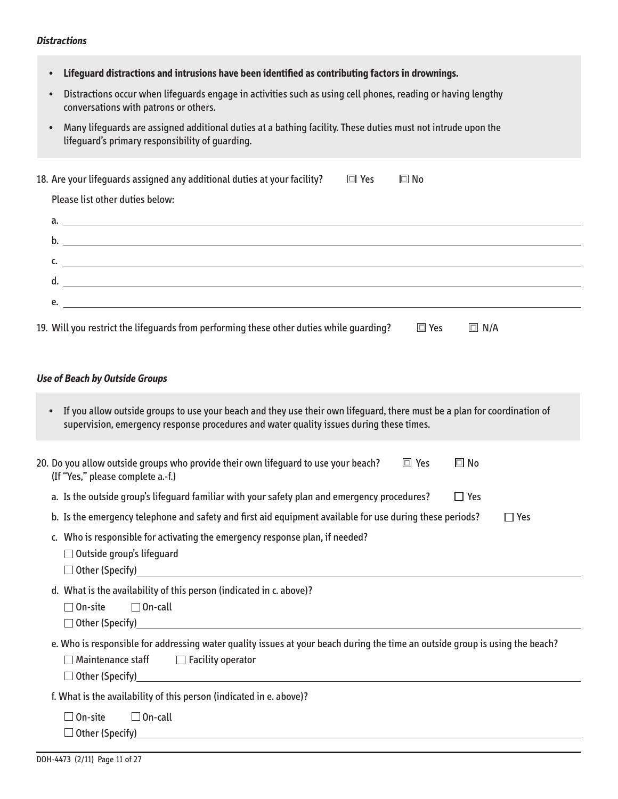### **Distractions**

| Lifeguard distractions and intrusions have been identified as contributing factors in drownings.                                                                                                                    |  |  |  |  |  |
|---------------------------------------------------------------------------------------------------------------------------------------------------------------------------------------------------------------------|--|--|--|--|--|
| Distractions occur when lifequards engage in activities such as using cell phones, reading or having lengthy<br>conversations with patrons or others.                                                               |  |  |  |  |  |
| Many lifeguards are assigned additional duties at a bathing facility. These duties must not intrude upon the<br>lifeguard's primary responsibility of guarding.                                                     |  |  |  |  |  |
| 18. Are your lifeguards assigned any additional duties at your facility?<br>$\square$ Yes<br>$\square$ No                                                                                                           |  |  |  |  |  |
| Please list other duties below:                                                                                                                                                                                     |  |  |  |  |  |
|                                                                                                                                                                                                                     |  |  |  |  |  |
|                                                                                                                                                                                                                     |  |  |  |  |  |
| $\mathsf{C}$ . $\blacksquare$                                                                                                                                                                                       |  |  |  |  |  |
|                                                                                                                                                                                                                     |  |  |  |  |  |
| <u> 1989 - Johann Barbara, martin amerikan basal dan berasal dan berasal dalam basal dan berasal dan berasal dan</u><br>e.                                                                                          |  |  |  |  |  |
| 19. Will you restrict the lifequards from performing these other duties while quarding?<br>$\square$ Yes<br>$\Box$ N/A                                                                                              |  |  |  |  |  |
|                                                                                                                                                                                                                     |  |  |  |  |  |
| <b>Use of Beach by Outside Groups</b>                                                                                                                                                                               |  |  |  |  |  |
| If you allow outside groups to use your beach and they use their own lifeguard, there must be a plan for coordination of<br>supervision, emergency response procedures and water quality issues during these times. |  |  |  |  |  |
| 20. Do you allow outside groups who provide their own lifeguard to use your beach?<br>$\Box$ Yes<br>$\square$ No<br>(If "Yes," please complete a.-f.)                                                               |  |  |  |  |  |
| a. Is the outside group's lifeguard familiar with your safety plan and emergency procedures?<br>$\Box$ Yes                                                                                                          |  |  |  |  |  |
| b. Is the emergency telephone and safety and first aid equipment available for use during these periods?<br>$\Box$ Yes                                                                                              |  |  |  |  |  |
| c. Who is responsible for activating the emergency response plan, if needed?<br>$\Box$ Outside group's lifeguard<br>$\Box$ Other (Specify) $\Box$                                                                   |  |  |  |  |  |
| d. What is the availability of this person (indicated in c. above)?<br>$\Box$ On-call<br>$\Box$ On-site                                                                                                             |  |  |  |  |  |
| e. Who is responsible for addressing water quality issues at your beach during the time an outside group is using the beach?<br>$\Box$ Maintenance staff<br>$\Box$ Facility operator                                |  |  |  |  |  |
| f. What is the availability of this person (indicated in e. above)?                                                                                                                                                 |  |  |  |  |  |
| $\Box$ On-call<br>$\Box$ On-site                                                                                                                                                                                    |  |  |  |  |  |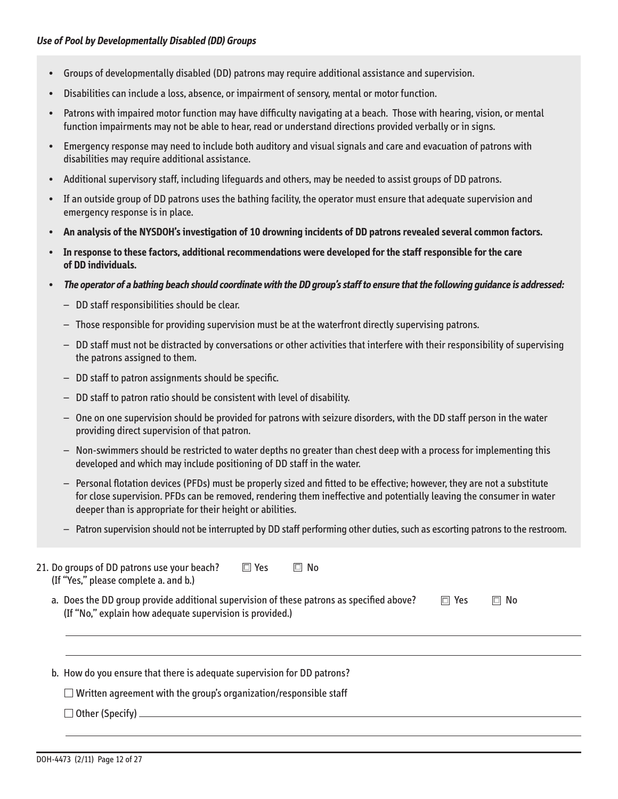- Groups of developmentally disabled (DD) patrons may require additional assistance and supervision.
- Disabilities can include a loss, absence, or impairment of sensory, mental or motor function.
- Patrons with impaired motor function may have difficulty navigating at a beach. Those with hearing, vision, or mental function impairments may not be able to hear, read or understand directions provided verbally or in signs.
- • � Emergency response may need to include both auditory and visual signals and care and evacuation of patrons with disabilities may require additional assistance.
- Additional supervisory staff, including lifeguards and others, may be needed to assist groups of DD patrons.
- • � If an outside group of DD patrons uses the bathing facility, the operator must ensure that adequate supervision and emergency response is in place.
- An analysis of the NYSDOH's investigation of 10 drowning incidents of DD patrons revealed several common factors.
- • � **In response to these factors, additional recommendations were developed for the staff responsible for the care of DD individuals.**
- The operator of a bathing beach should coordinate with the DD group's staff to ensure that the following guidance is addressed:
	-
	- DD staff responsibilities should be clear.<br>— Those responsible for providing supervision must be at the waterfront directly supervising patrons.
	- $-$  DD staff must not be distracted by conversations or other activities that interfere with their responsibility of supervising the patrons assigned to them.
	- $-$  DD staff to patron assignments should be specific.
	- $-$  DD staff to patron ratio should be consistent with level of disability.
	- $-$  One on one supervision should be provided for patrons with seizure disorders, with the DD staff person in the water providing direct supervision of that patron.
	- $-$  Non-swimmers should be restricted to water depths no greater than chest deep with a process for implementing this developed and which may include positioning of DD staff in the water.
	- $-$  Personal flotation devices (PFDs) must be properly sized and fitted to be effective; however, they are not a substitute for close supervision . PFDs can be removed, rendering them ineffective and potentially leaving the consumer in water deeper than is appropriate for their height or abilities.
	- $-$  Patron supervision should not be interrupted by DD staff performing other duties, such as escorting patrons to the restroom.

| $\square$ Yes<br>21. Do groups of DD patrons use your beach?<br>$\Box$<br>No<br>(If "Yes," please complete a. and b.)                                |            |           |
|------------------------------------------------------------------------------------------------------------------------------------------------------|------------|-----------|
| a. Does the DD group provide additional supervision of these patrons as specified above?<br>(If "No," explain how adequate supervision is provided.) | $\Box$ Yes | $\Box$ No |
| b. How do you ensure that there is adequate supervision for DD patrons?                                                                              |            |           |
| $\Box$ Written agreement with the group's organization/responsible staff                                                                             |            |           |
| □ Other (Specify) _________________                                                                                                                  |            |           |
|                                                                                                                                                      |            |           |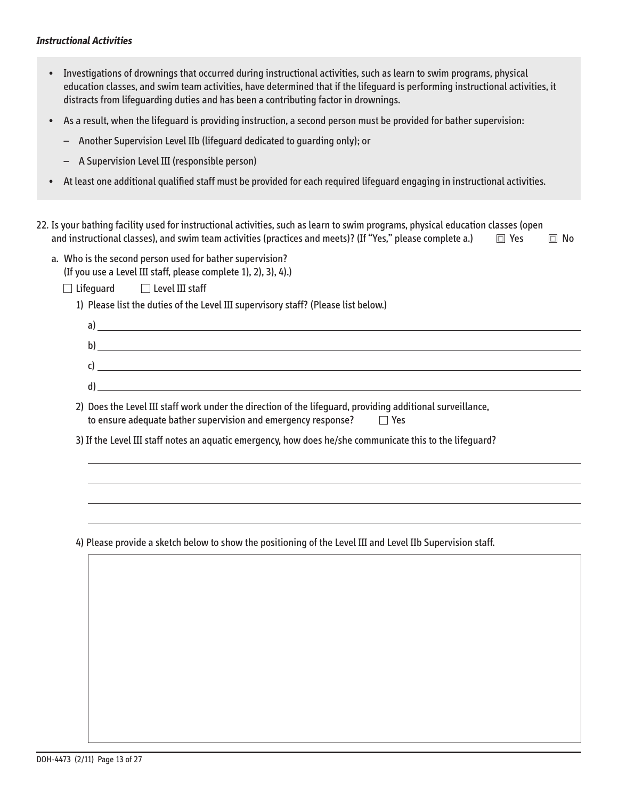### **Instructional Activities**

 $\overline{a}$ 

- Investigations of drownings that occurred during instructional activities, such as learn to swim programs, physical education classes, and swim team activities, have determined that if the lifeguard is performing instructional activities, it distracts from lifeguarding duties and has been a contributing factor in drownings.
- • � As a result, when the lifeguard is providing instruction, a second person must be provided for bather supervision:
	- $-$  Another Supervision Level IIb (lifeguard dedicated to guarding only); or
	- – � A Supervision Level III (responsible person)
- At least one additional qualified staff must be provided for each required lifeguard engaging in instructional activities.
- 22 . Is your bathing facility used for instructional activities, such as learn to swim programs, physical education classes (open and instructional classes), and swim team activities (practices and meets)? (If "Yes," please complete a.)  $\Box$  Yes  $\Box$  No
	- a. Who is the second person used for bather supervision?

(If you use a Level III staff, please complete 1), 2), 3), 4) .)

- $\Box$  Lifeguard  $\Box$  Level III staff
	- 1) Please list the duties of the Level III supervisory staff? (Please list below.)

| a)           |  |
|--------------|--|
| $\mathsf{b}$ |  |
| $\epsilon$   |  |
| d            |  |
|              |  |

2) Does the Level III staff work under the direction of the lifeguard, providing additional surveillance, to ensure adequate bather supervision and emergency response?  $\Box$  Yes

3) If the Level III staff notes an aquatic emergency, how does he/she communicate this to the lifeguard?

4) Please provide a sketch below to show the positioning of the Level III and Level IIb Supervision staff .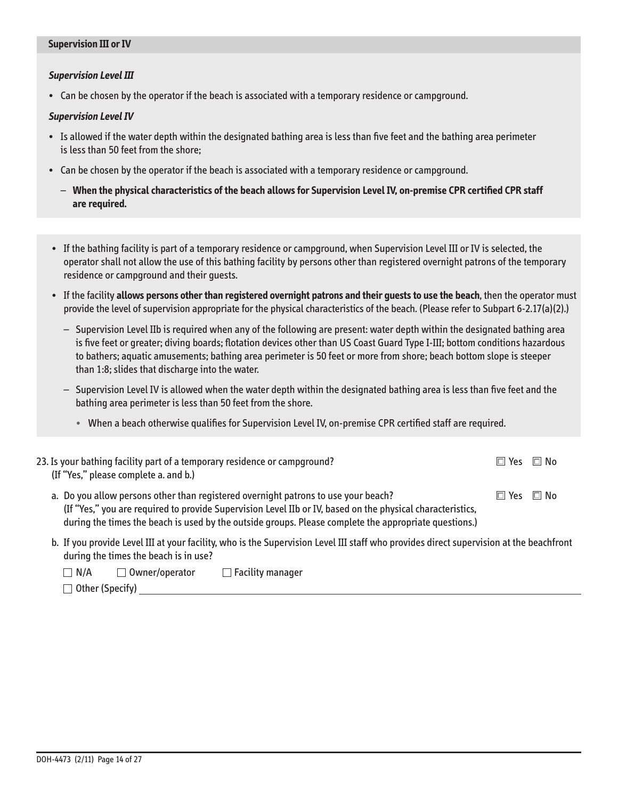### **Supervision III or Iv**

### **Supervision Level III**

• Can be chosen by the operator if the beach is associated with a temporary residence or campground.

### **Supervision Level Iv**

- • �Is allowed if the water depth within the designated bathing area is less than five feet and the bathing area perimeter is less than 50 feet from the shore;
- Can be chosen by the operator if the beach is associated with a temporary residence or campground .
	- $-$  When the physical characteristics of the beach allows for Supervision Level IV, on-premise CPR certified CPR staff **are required.**
- • �If the bathing facility is part of a temporary residence or campground, when Supervision Level III or IV is selected, the operator shall not allow the use of this bathing facility by persons other than registered overnight patrons of the temporary residence or campground and their quests.
- • � If the facility **allows persons other than registered overnight patrons and their guests to use the beach**, then the operator must provide the level of supervision appropriate for the physical characteristics of the beach . (Please refer to Subpart 6-2 .17(a)(2) .)
	- $-$  Supervision Level IIb is required when any of the following are present: water depth within the designated bathing area is five feet or greater; diving boards; flotation devices other than US Coast Guard Type I-III; bottom conditions hazardous to bathers; aquatic amusements; bathing area perimeter is 50 feet or more from shore; beach bottom slope is steeper than 1:8; slides that discharge into the water.
	- $-$  Supervision Level IV is allowed when the water depth within the designated bathing area is less than five feet and the bathing area perimeter is less than 50 feet from the shore.
		- When a beach otherwise qualifies for Supervision Level IV, on-premise CPR certified staff are required.

| 23. Is your bathing facility part of a temporary residence or campground?<br>(If "Yes," please complete a. and b.)                                                                                                                                                                                        | $\Box$ Yes                 | $\Box$ No |
|-----------------------------------------------------------------------------------------------------------------------------------------------------------------------------------------------------------------------------------------------------------------------------------------------------------|----------------------------|-----------|
| a. Do you allow persons other than registered overnight patrons to use your beach?<br>(If "Yes," you are required to provide Supervision Level IIb or IV, based on the physical characteristics,<br>during the times the beach is used by the outside groups. Please complete the appropriate questions.) | $\square$ Yes $\square$ No |           |
| b. If you provide Level III at your facility, who is the Supervision Level III staff who provides direct supervision at the beachfrom                                                                                                                                                                     |                            |           |

b. If you provide Level III at your facility, who is the Supervision Level III staff who provides direct supervision at the beachfront during the times the beach is in use?

| $\Box$ N/A             | $\Box$ Owner/operator | $\Box$ Facility manager |  |
|------------------------|-----------------------|-------------------------|--|
| $\Box$ Other (Specify) |                       |                         |  |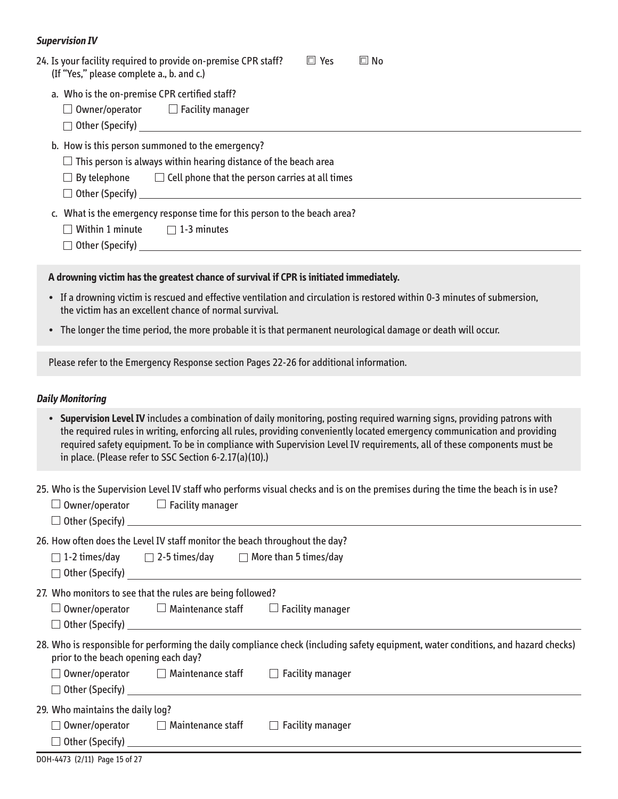### **Supervision Iv**

| 24. Is your facility required to provide on-premise CPR staff?<br>$\Box$ Yes<br>$\square$ No<br>(If "Yes," please complete a., b. and c.)                                                                                                 |
|-------------------------------------------------------------------------------------------------------------------------------------------------------------------------------------------------------------------------------------------|
| a. Who is the on-premise CPR certified staff?<br>$\Box$ Owner/operator $\hfill\Box$ Facility manager                                                                                                                                      |
| b. How is this person summoned to the emergency?<br>$\Box$ This person is always within hearing distance of the beach area<br>$\Box$ By telephone $\Box$ Cell phone that the person carries at all times<br>$\Box$ Other (Specify) $\Box$ |
| c. What is the emergency response time for this person to the beach area?<br>$\Box$ Within 1 minute $\Box$ 1-3 minutes                                                                                                                    |
| A drowning victim has the greatest chance of survival if CPR is initiated immediately.                                                                                                                                                    |

- If a drowning victim is rescued and effective ventilation and circulation is restored within 0-3 minutes of submersion, the victim has an excellent chance of normal survival.
- The longer the time period, the more probable it is that permanent neurological damage or death will occur .

Please refer to the Emergency Response section Pages 22-26 for additional information.

### **Daily Monitoring**

• **Supervision Level Iv** includes a combination of daily monitoring, posting required warning signs, providing patrons with the required rules in writing, enforcing all rules, providing conveniently located emergency communication and providing required safety equipment. To be in compliance with Supervision Level IV requirements, all of these components must be in place. (Please refer to SSC Section 6-2.17(a)(10).)

25 . Who is the Supervision Level IV staff who performs visual checks and is on the premises during the time the beach is in use?

|                                                                             | Owner/operator $\Box$ Facility manager                                 |                                                                                                                                    |  |  |  |  |
|-----------------------------------------------------------------------------|------------------------------------------------------------------------|------------------------------------------------------------------------------------------------------------------------------------|--|--|--|--|
| 26. How often does the Level IV staff monitor the beach throughout the day? |                                                                        |                                                                                                                                    |  |  |  |  |
|                                                                             | $\Box$ 1-2 times/day $\Box$ 2-5 times/day $\Box$ More than 5 times/day |                                                                                                                                    |  |  |  |  |
| 27. Who monitors to see that the rules are being followed?                  |                                                                        |                                                                                                                                    |  |  |  |  |
|                                                                             | $\Box$ Owner/operator $\Box$ Maintenance staff $\Box$ Facility manager |                                                                                                                                    |  |  |  |  |
|                                                                             |                                                                        |                                                                                                                                    |  |  |  |  |
| prior to the beach opening each day?                                        |                                                                        | 28. Who is responsible for performing the daily compliance check (including safety equipment, water conditions, and hazard checks) |  |  |  |  |
|                                                                             | $\Box$ Owner/operator $\Box$ Maintenance staff $\Box$ Facility manager |                                                                                                                                    |  |  |  |  |
|                                                                             |                                                                        | $\Box$ Other (Specify) $\Box$ Other (Specify) $\Box$                                                                               |  |  |  |  |
| 29. Who maintains the daily log?                                            |                                                                        |                                                                                                                                    |  |  |  |  |
|                                                                             | $\Box$ Owner/operator $\Box$ Maintenance staff                         | $\Box$ Facility manager                                                                                                            |  |  |  |  |
|                                                                             |                                                                        |                                                                                                                                    |  |  |  |  |
| DOH-4473 (2/11) Page 15 of 27                                               |                                                                        |                                                                                                                                    |  |  |  |  |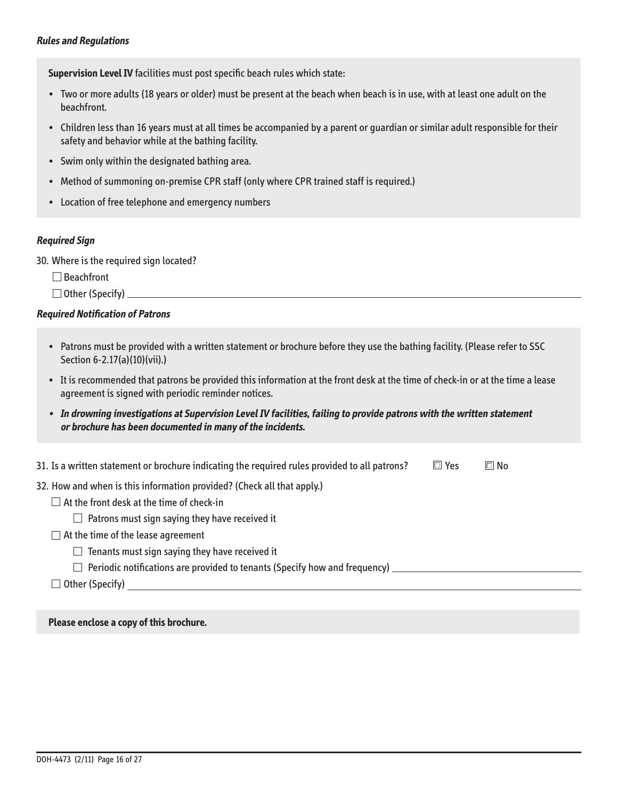**Supervision Level Iv** facilities must post specific beach rules which state:

- Two or more adults (18 years or older) must be present at the beach when beach is in use, with at least one adult on the beachfront.
- Children less than 16 years must at all times be accompanied by a parent or guardian or similar adult responsible for their safety and behavior while at the bathing facility.
- Swim only within the designated bathing area.
- Method of summoning on-premise CPR staff (only where CPR trained staff is required.)
- Location of free telephone and emergency numbers

### **Required Sign**

30. Where is the required sign located?

□ Beachfront

 $\Box$  Other (Specify)  $\Box$ 

### **Required Notification of Patrons**

- Patrons must be provided with a written statement or brochure before they use the bathing facility . (Please refer to SSC Section 6-2.17(a)(10)(vii).)
- It is recommended that patrons be provided this information at the front desk at the time of check-in or at the time a lease agreement is signed with periodic reminder notices .
- **In drowning investigations at Supervision Level Iv facilities, failing to provide patrons with the written statement or brochure has been documented in many of the incidents.**

| 31. Is a written statement or brochure indicating the required rules provided to all patrons? | $\Box$ Yes | $\square$ No |
|-----------------------------------------------------------------------------------------------|------------|--------------|
| 32. How and when is this information provided? (Check all that apply.)                        |            |              |
| $\Box$ At the front desk at the time of check-in                                              |            |              |
| $\Box$ Patrons must sign saying they have received it                                         |            |              |
| $\Box$ At the time of the lease agreement                                                     |            |              |
| $\Box$ Tenants must sign saying they have received it                                         |            |              |
| $\Box$ Periodic notifications are provided to tenants (Specify how and frequency) $\Box$      |            |              |
| $\Box$ Other (Specify)                                                                        |            |              |
|                                                                                               |            |              |

**Please enclose a copy of this brochure.**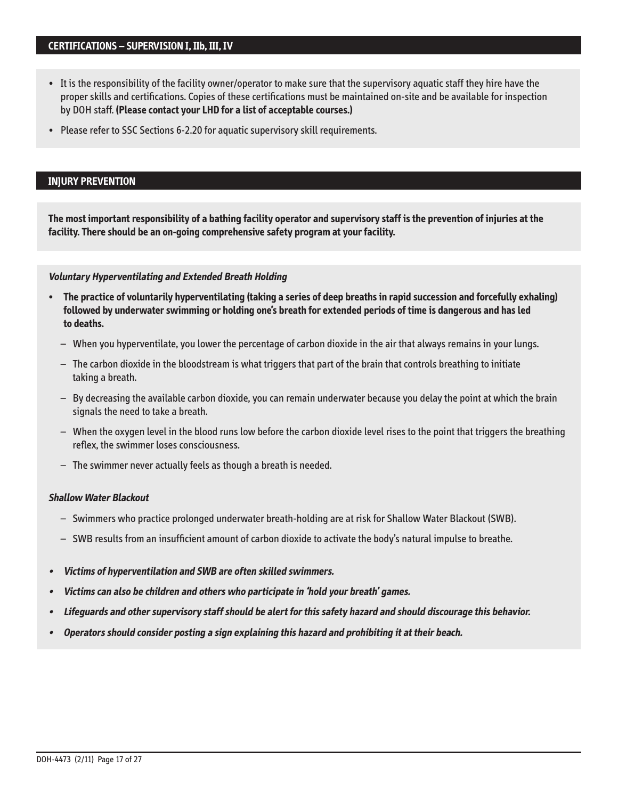- It is the responsibility of the facility owner/operator to make sure that the supervisory aquatic staff they hire have the proper skills and certifications . Copies of these certifications must be maintained on-site and be available for inspection by DOH staff. (Please contact your LHD for a list of acceptable courses.)
- Please refer to SSC Sections 6-2.20 for aquatic supervisory skill requirements.

### **INjURY PREvENTION**

**The most important responsibility of a bathing facility operator and supervisory staff is the prevention of injuries at the facility. There should be an on-going comprehensive safety program at your facility.** 

#### **voluntary Hyperventilating and Extended Breath Holding**

- The practice of voluntarily hyperventilating (taking a series of deep breaths in rapid succession and forcefully exhaling) **followed by underwater swimming or holding one's breath for extended periods of time is dangerous and has led to deaths.** 
	- $-$  When you hyperventilate, you lower the percentage of carbon dioxide in the air that always remains in your lungs.
	- $-$  The carbon dioxide in the bloodstream is what triggers that part of the brain that controls breathing to initiate taking a breath.
	- $-$  By decreasing the available carbon dioxide, you can remain underwater because you delay the point at which the brain signals the need to take a breath.
	- When the oxygen level in the blood runs low before the carbon dioxide level rises to the point that triggers the breathing reflex, the swimmer loses consciousness.
	- $-$  The swimmer never actually feels as though a breath is needed.

### **Shallow Water Blackout**

- $-$  Swimmers who practice prolonged underwater breath-holding are at risk for Shallow Water Blackout (SWB).
- $-$  SWB results from an insufficient amount of carbon dioxide to activate the body's natural impulse to breathe.
- **•** � **victims of hyperventilation and SWB are often skilled swimmers.**
- **•** � **victims can also be children and others who participate in 'hold your breath' games.**
- **•** � **Lifeguards and other supervisory staff should be alert for this safety hazard and should discourage this behavior.**
- **•** � **Operators should consider posting a sign explaining this hazard and prohibiting it at their beach.**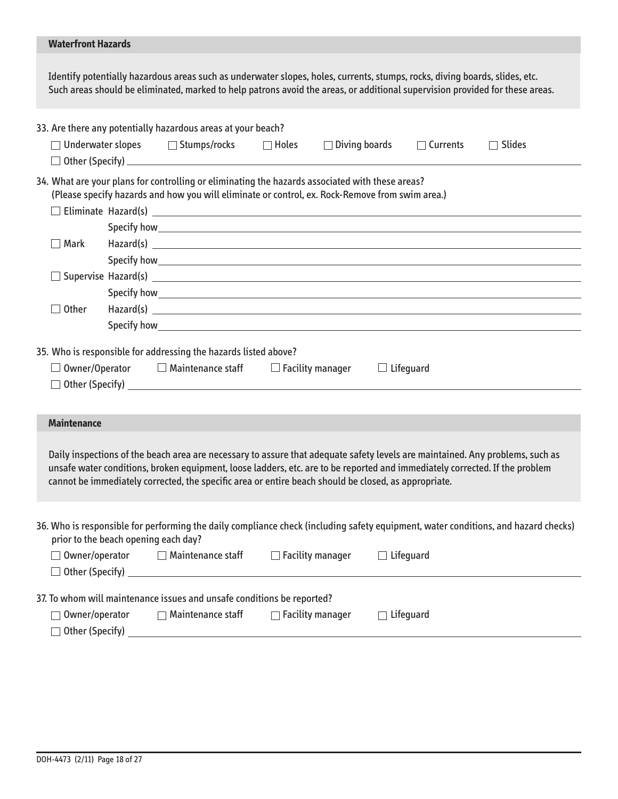## **Waterfront Hazards**

Identify potentially hazardous areas such as underwater slopes, holes, currents, stumps, rocks, diving boards, slides, etc.<br>Such areas should be eliminated, marked to help patrons avoid the areas, or additional supervision

|                                                                                                                                                                                                                                                                                                                                                                                                                                                                                                                                                                |  | 33. Are there any potentially hazardous areas at your beach?                                                                                                                                                                  |                         |                      |                  |                                                                                                                                    |  |
|----------------------------------------------------------------------------------------------------------------------------------------------------------------------------------------------------------------------------------------------------------------------------------------------------------------------------------------------------------------------------------------------------------------------------------------------------------------------------------------------------------------------------------------------------------------|--|-------------------------------------------------------------------------------------------------------------------------------------------------------------------------------------------------------------------------------|-------------------------|----------------------|------------------|------------------------------------------------------------------------------------------------------------------------------------|--|
|                                                                                                                                                                                                                                                                                                                                                                                                                                                                                                                                                                |  | □ Underwater slopes    □ Stumps/rocks    □ Holes                                                                                                                                                                              |                         | $\Box$ Diving boards | $\Box$ Currents  | $\Box$ Slides                                                                                                                      |  |
|                                                                                                                                                                                                                                                                                                                                                                                                                                                                                                                                                                |  |                                                                                                                                                                                                                               |                         |                      |                  |                                                                                                                                    |  |
| 34. What are your plans for controlling or eliminating the hazards associated with these areas?<br>(Please specify hazards and how you will eliminate or control, ex. Rock-Remove from swim area.)                                                                                                                                                                                                                                                                                                                                                             |  |                                                                                                                                                                                                                               |                         |                      |                  |                                                                                                                                    |  |
|                                                                                                                                                                                                                                                                                                                                                                                                                                                                                                                                                                |  |                                                                                                                                                                                                                               |                         |                      |                  |                                                                                                                                    |  |
|                                                                                                                                                                                                                                                                                                                                                                                                                                                                                                                                                                |  |                                                                                                                                                                                                                               |                         |                      |                  |                                                                                                                                    |  |
| $\Box$ Mark                                                                                                                                                                                                                                                                                                                                                                                                                                                                                                                                                    |  |                                                                                                                                                                                                                               |                         |                      |                  |                                                                                                                                    |  |
|                                                                                                                                                                                                                                                                                                                                                                                                                                                                                                                                                                |  |                                                                                                                                                                                                                               |                         |                      |                  |                                                                                                                                    |  |
|                                                                                                                                                                                                                                                                                                                                                                                                                                                                                                                                                                |  | $\Box$ Supervise Hazard(s) $\Box$                                                                                                                                                                                             |                         |                      |                  |                                                                                                                                    |  |
|                                                                                                                                                                                                                                                                                                                                                                                                                                                                                                                                                                |  |                                                                                                                                                                                                                               |                         |                      |                  |                                                                                                                                    |  |
| $\Box$ Other                                                                                                                                                                                                                                                                                                                                                                                                                                                                                                                                                   |  |                                                                                                                                                                                                                               |                         |                      |                  |                                                                                                                                    |  |
|                                                                                                                                                                                                                                                                                                                                                                                                                                                                                                                                                                |  | Specify how with the contract of the contract of the contract of the contract of the contract of the contract of the contract of the contract of the contract of the contract of the contract of the contract of the contract |                         |                      |                  |                                                                                                                                    |  |
| 35. Who is responsible for addressing the hazards listed above?<br>$\Box$ Owner/Operator $\Box$ Maintenance staff<br>$\Box$ Facility manager<br>$\Box$ Lifeguard<br><b>Maintenance</b><br>Daily inspections of the beach area are necessary to assure that adequate safety levels are maintained. Any problems, such as<br>unsafe water conditions, broken equipment, loose ladders, etc. are to be reported and immediately corrected. If the problem<br>cannot be immediately corrected, the specific area or entire beach should be closed, as appropriate. |  |                                                                                                                                                                                                                               |                         |                      |                  |                                                                                                                                    |  |
| prior to the beach opening each day?<br>Other (Specify)                                                                                                                                                                                                                                                                                                                                                                                                                                                                                                        |  | $\Box$ Owner/operator $\Box$ Maintenance staff $\Box$ Facility manager                                                                                                                                                        |                         |                      | $\Box$ Lifeguard | 36. Who is responsible for performing the daily compliance check (including safety equipment, water conditions, and hazard checks) |  |
| Owner/operator                                                                                                                                                                                                                                                                                                                                                                                                                                                                                                                                                 |  | 37. To whom will maintenance issues and unsafe conditions be reported?<br>$\Box$ Maintenance staff                                                                                                                            | $\Box$ Facility manager |                      | Lifeguard        |                                                                                                                                    |  |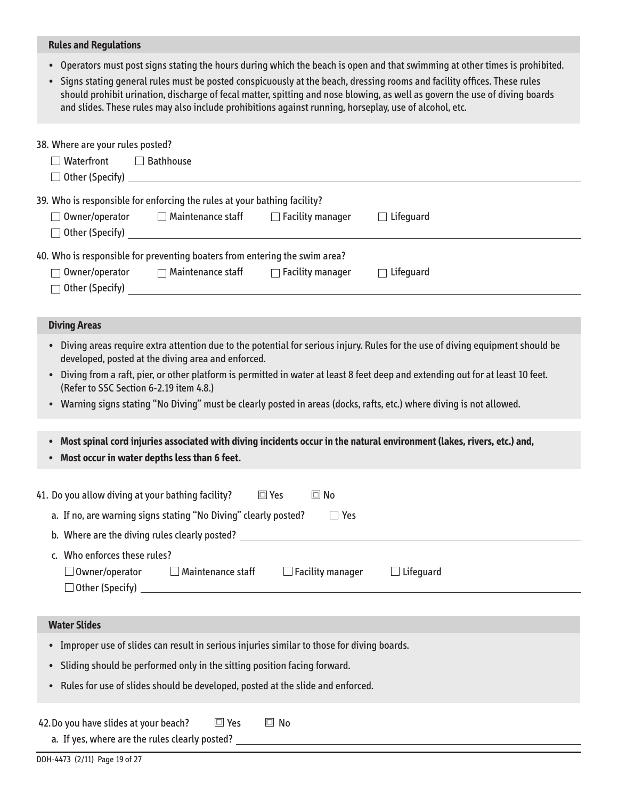### **Rules and Regulations**

- Operators must post signs stating the hours during which the beach is open and that swimming at other times is prohibited.
- Signs stating general rules must be posted conspicuously at the beach, dressing rooms and facility offices. These rules should prohibit urination, discharge of fecal matter, spitting and nose blowing, as well as govern the use of diving boards and slides. These rules may also include prohibitions against running, horseplay, use of alcohol, etc.

| 38. Where are your rules posted?<br>$\Box$ Waterfront<br>$\Box$ Bathhouse<br>$\Box$ Other (Specify) $\Box$                                                                                                                                                                                                                                                                                                                                                                                  |  |  |                     |  |  |
|---------------------------------------------------------------------------------------------------------------------------------------------------------------------------------------------------------------------------------------------------------------------------------------------------------------------------------------------------------------------------------------------------------------------------------------------------------------------------------------------|--|--|---------------------|--|--|
| 39. Who is responsible for enforcing the rules at your bathing facility?                                                                                                                                                                                                                                                                                                                                                                                                                    |  |  |                     |  |  |
| $\Box$ Owner/operator $\Box$ Maintenance staff $\Box$ Facility manager<br>$\Box$ Other (Specify) $\Box$                                                                                                                                                                                                                                                                                                                                                                                     |  |  | $\Box$ Lifequard    |  |  |
| 40. Who is responsible for preventing boaters from entering the swim area?                                                                                                                                                                                                                                                                                                                                                                                                                  |  |  |                     |  |  |
| $\Box$ Owner/operator $\Box$ Maintenance staff $\Box$ Facility manager                                                                                                                                                                                                                                                                                                                                                                                                                      |  |  | Lifeguard<br>$\Box$ |  |  |
| <b>Diving Areas</b>                                                                                                                                                                                                                                                                                                                                                                                                                                                                         |  |  |                     |  |  |
| • Diving areas require extra attention due to the potential for serious injury. Rules for the use of diving equipment should be<br>developed, posted at the diving area and enforced.<br>Diving from a raft, pier, or other platform is permitted in water at least 8 feet deep and extending out for at least 10 feet.<br>(Refer to SSC Section 6-2.19 item 4.8.)<br>• Warning signs stating "No Diving" must be clearly posted in areas (docks, rafts, etc.) where diving is not allowed. |  |  |                     |  |  |
| Most spinal cord injuries associated with diving incidents occur in the natural environment (lakes, rivers, etc.) and,<br>$\bullet$<br>Most occur in water depths less than 6 feet.                                                                                                                                                                                                                                                                                                         |  |  |                     |  |  |
| 41. Do you allow diving at your bathing facility?<br>$\square$ Yes<br>$\square$ No                                                                                                                                                                                                                                                                                                                                                                                                          |  |  |                     |  |  |
| a. If no, are warning signs stating "No Diving" clearly posted?<br>$\Box$ Yes                                                                                                                                                                                                                                                                                                                                                                                                               |  |  |                     |  |  |
|                                                                                                                                                                                                                                                                                                                                                                                                                                                                                             |  |  |                     |  |  |
| c. Who enforces these rules?<br>$\Box$ Owner/operator $\Box$ Maintenance staff<br>$\Box$ Facility manager<br>$\Box$ Lifequard<br>$\Box$ Other (Specify)                                                                                                                                                                                                                                                                                                                                     |  |  |                     |  |  |
|                                                                                                                                                                                                                                                                                                                                                                                                                                                                                             |  |  |                     |  |  |
| <b>Water Slides</b>                                                                                                                                                                                                                                                                                                                                                                                                                                                                         |  |  |                     |  |  |
| Improper use of slides can result in serious injuries similar to those for diving boards.                                                                                                                                                                                                                                                                                                                                                                                                   |  |  |                     |  |  |
| Sliding should be performed only in the sitting position facing forward.                                                                                                                                                                                                                                                                                                                                                                                                                    |  |  |                     |  |  |
| Rules for use of slides should be developed, posted at the slide and enforced.                                                                                                                                                                                                                                                                                                                                                                                                              |  |  |                     |  |  |
| $\Box$ Yes<br>$\square$ No<br>42. Do you have slides at your beach?                                                                                                                                                                                                                                                                                                                                                                                                                         |  |  |                     |  |  |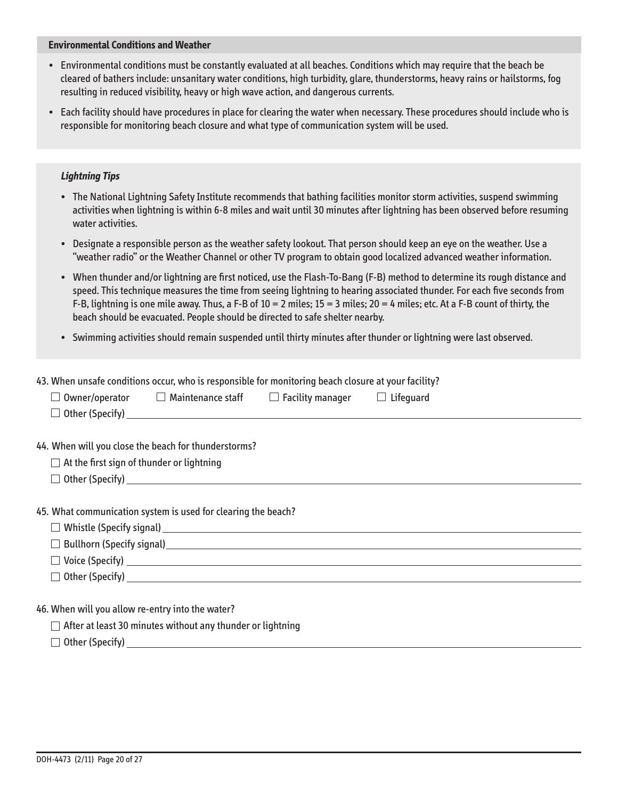### **Environmental Conditions and Weather**

- Environmental conditions must be constantly evaluated at all beaches . Conditions which may require that the beach be cleared of bathers include: unsanitary water conditions, high turbidity, glare, thunderstorms, heavy rains or hailstorms, fog resulting in reduced visibility, heavy or high wave action, and dangerous currents.
- Each facility should have procedures in place for clearing the water when necessary . These procedures should include who is responsible for monitoring beach closure and what type of communication system will be used .

### **Lightning Tips**

- The National Lightning Safety Institute recommends that bathing facilities monitor storm activities, suspend swimming activities when lightning is within 6-8 miles and wait until 30 minutes after lightning has been observed before resuming water activities.
- Designate a responsible person as the weather safety lookout. That person should keep an eye on the weather. Use a "weather radio" or the Weather Channel or other TV program to obtain good localized advanced weather information.
- When thunder and/or lightning are first noticed, use the Flash-To-Bang (F-B) method to determine its rough distance and speed. This technique measures the time from seeing lightning to hearing associated thunder. For each five seconds from F-B, lightning is one mile away. Thus, a F-B of  $10 = 2$  miles;  $15 = 3$  miles;  $20 = 4$  miles; etc. At a F-B count of thirty, the beach should be evacuated. People should be directed to safe shelter nearby.
- Swimming activities should remain suspended until thirty minutes after thunder or lightning were last observed .

|                                                  | 43. When unsafe conditions occur, who is responsible for monitoring beach closure at your facility?                                                                                                                            |  |  |  |
|--------------------------------------------------|--------------------------------------------------------------------------------------------------------------------------------------------------------------------------------------------------------------------------------|--|--|--|
|                                                  | $\Box$ Owner/operator $\Box$ Maintenance staff $\Box$ Facility manager $\Box$ Lifeguard                                                                                                                                        |  |  |  |
|                                                  | $\Box$ Other (Specify) $\Box$                                                                                                                                                                                                  |  |  |  |
|                                                  |                                                                                                                                                                                                                                |  |  |  |
|                                                  | 44. When will you close the beach for thunderstorms?                                                                                                                                                                           |  |  |  |
| $\Box$ At the first sign of thunder or lightning |                                                                                                                                                                                                                                |  |  |  |
| $\Box$ Other (Specify) $\Box$                    |                                                                                                                                                                                                                                |  |  |  |
|                                                  |                                                                                                                                                                                                                                |  |  |  |
|                                                  | 45. What communication system is used for clearing the beach?                                                                                                                                                                  |  |  |  |
|                                                  |                                                                                                                                                                                                                                |  |  |  |
|                                                  |                                                                                                                                                                                                                                |  |  |  |
|                                                  |                                                                                                                                                                                                                                |  |  |  |
|                                                  | $\Box$ Other (Specify) $\Box$                                                                                                                                                                                                  |  |  |  |
|                                                  |                                                                                                                                                                                                                                |  |  |  |
| 46. When will you allow re-entry into the water? |                                                                                                                                                                                                                                |  |  |  |
|                                                  | $\Box$ and the contract of the contract of the contract of the contract of the contract of the contract of the contract of the contract of the contract of the contract of the contract of the contract of the contract of the |  |  |  |

 $\Box$  After at least 30 minutes without any thunder or lightning

 $\Box$  Other (Specify)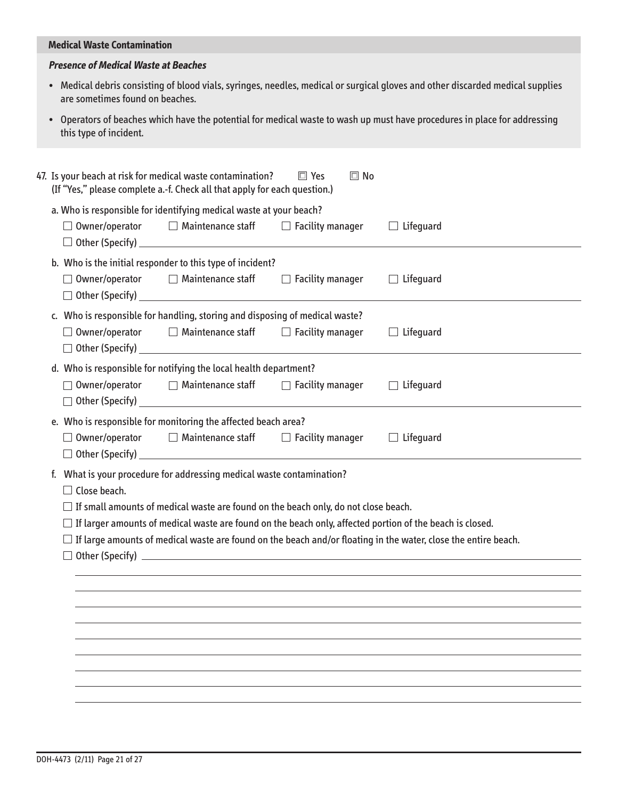### **Medical Waste Contamination**

### **Presence of Medical Waste at Beaches**

- Medical debris consisting of blood vials, syringes, needles, medical or surgical gloves and other discarded medical supplies are sometimes found on beaches.
- Operators of beaches which have the potential for medical waste to wash up must have procedures in place for addressing this type of incident.

| 47. Is your beach at risk for medical waste contamination?<br>$\square$ Yes<br>$\Box$ No<br>(If "Yes," please complete a.-f. Check all that apply for each question.) |                                                                                                      |                                                                                                                        |                         |                                                                                                                                                                                                                                          |  |
|-----------------------------------------------------------------------------------------------------------------------------------------------------------------------|------------------------------------------------------------------------------------------------------|------------------------------------------------------------------------------------------------------------------------|-------------------------|------------------------------------------------------------------------------------------------------------------------------------------------------------------------------------------------------------------------------------------|--|
|                                                                                                                                                                       | a. Who is responsible for identifying medical waste at your beach?<br>$\Box$ Owner/operator          | $\Box$ Maintenance staff $\Box$ Facility manager                                                                       |                         | $\Box$ Lifeguard                                                                                                                                                                                                                         |  |
|                                                                                                                                                                       | $\Box$ Owner/operator                                                                                | b. Who is the initial responder to this type of incident?<br>$\Box$ Maintenance staff<br>$\Box$ Other (Specify) $\Box$ | $\Box$ Facility manager | $\Box$ Lifequard                                                                                                                                                                                                                         |  |
|                                                                                                                                                                       | c. Who is responsible for handling, storing and disposing of medical waste?<br>$\Box$ Owner/operator | $\Box$ Maintenance staff $\Box$ Facility manager                                                                       |                         | $\Box$ Lifeguard                                                                                                                                                                                                                         |  |
|                                                                                                                                                                       | d. Who is responsible for notifying the local health department?<br>$\Box$ Owner/operator            | $\Box$ Maintenance staff $\Box$ Facility manager<br>$\Box$ Other (Specify) $\Box$                                      |                         | $\Box$ Lifeguard                                                                                                                                                                                                                         |  |
|                                                                                                                                                                       | e. Who is responsible for monitoring the affected beach area?<br>$\Box$ Owner/operator               | $\Box$ Maintenance staff                                                                                               | $\Box$ Facility manager | $\Box$ Lifeguard                                                                                                                                                                                                                         |  |
|                                                                                                                                                                       | f. What is your procedure for addressing medical waste contamination?<br>$\Box$ Close beach.         | $\exists$ If small amounts of medical waste are found on the beach only, do not close beach.                           |                         | $\Box$ If larger amounts of medical waste are found on the beach only, affected portion of the beach is closed.<br>$\Box$ If large amounts of medical waste are found on the beach and/or floating in the water, close the entire beach. |  |
|                                                                                                                                                                       |                                                                                                      |                                                                                                                        |                         |                                                                                                                                                                                                                                          |  |
|                                                                                                                                                                       |                                                                                                      |                                                                                                                        |                         |                                                                                                                                                                                                                                          |  |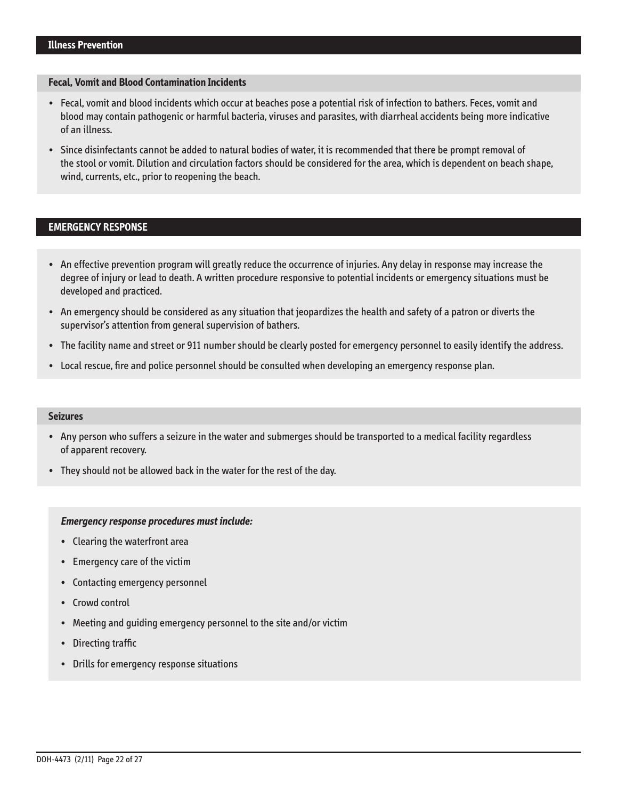### **Fecal, vomit and Blood Contamination Incidents**

- • � Fecal, vomit and blood incidents which occur at beaches pose a potential risk of infection to bathers . Feces, vomit and blood may contain pathogenic or harmful bacteria, viruses and parasites, with diarrheal accidents being more indicative of an illness.
- Since disinfectants cannot be added to natural bodies of water, it is recommended that there be prompt removal of the stool or vomit . Dilution and circulation factors should be considered for the area, which is dependent on beach shape, wind, currents, etc., prior to reopening the beach.

# **EMERGENCY RESPONSE**

- • � An effective prevention program will greatly reduce the occurrence of injuries . Any delay in response may increase the degree of injury or lead to death . A written procedure responsive to potential incidents or emergency situations must be developed and practiced.
- • � An emergency should be considered as any situation that jeopardizes the health and safety of a patron or diverts the supervisor's attention from general supervision of bathers.
- The facility name and street or 911 number should be clearly posted for emergency personnel to easily identify the address.
- Local rescue, fire and police personnel should be consulted when developing an emergency response plan.

#### **Seizures**

- • � Any person who suffers a seizure in the water and submerges should be transported to a medical facility regardless of apparent recovery.
- They should not be allowed back in the water for the rest of the day.

#### **Emergency response procedures must include:**

- Clearing the waterfront area
- Emergency care of the victim
- Contacting emergency personnel
- Crowd control
- Meeting and quiding emergency personnel to the site and/or victim
- Directing traffic
- Drills for emergency response situations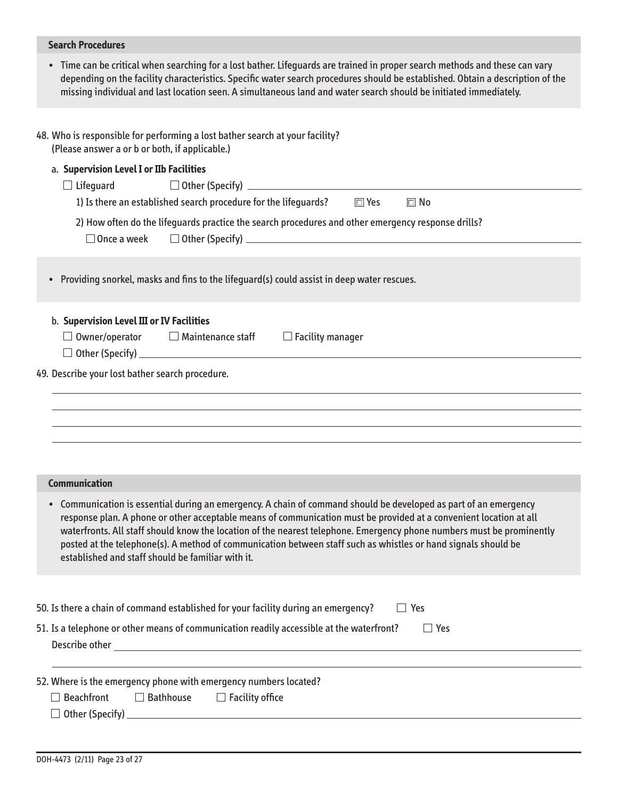| <b>Search Procedures</b>                                                                                                                                                                                                                                                                                                                                                                                                                                                                                                               |
|----------------------------------------------------------------------------------------------------------------------------------------------------------------------------------------------------------------------------------------------------------------------------------------------------------------------------------------------------------------------------------------------------------------------------------------------------------------------------------------------------------------------------------------|
| Time can be critical when searching for a lost bather. Lifeguards are trained in proper search methods and these can vary<br>$\bullet$<br>depending on the facility characteristics. Specific water search procedures should be established. Obtain a description of the<br>missing individual and last location seen. A simultaneous land and water search should be initiated immediately.                                                                                                                                           |
| 48. Who is responsible for performing a lost bather search at your facility?<br>(Please answer a or b or both, if applicable.)<br>a. Supervision Level I or IIb Facilities<br>$\Box$ Lifeguard<br>1) Is there an established search procedure for the lifeguards? $\square$ Yes<br>$\Box$ No                                                                                                                                                                                                                                           |
| 2) How often do the lifeguards practice the search procedures and other emergency response drills?<br>$\Box$ Once a week                                                                                                                                                                                                                                                                                                                                                                                                               |
| Providing snorkel, masks and fins to the lifeguard(s) could assist in deep water rescues.<br>$\bullet$                                                                                                                                                                                                                                                                                                                                                                                                                                 |
| b. Supervision Level III or IV Facilities<br>$\Box$ Owner/operator $\Box$ Maintenance staff $\Box$ Facility manager                                                                                                                                                                                                                                                                                                                                                                                                                    |
| 49. Describe your lost bather search procedure.                                                                                                                                                                                                                                                                                                                                                                                                                                                                                        |
| <b>Communication</b>                                                                                                                                                                                                                                                                                                                                                                                                                                                                                                                   |
| • Communication is essential during an emergency. A chain of command should be developed as part of an emergency<br>response plan. A phone or other acceptable means of communication must be provided at a convenient location at all<br>waterfronts. All staff should know the location of the nearest telephone. Emergency phone numbers must be prominently<br>posted at the telephone(s). A method of communication between staff such as whistles or hand signals should be<br>established and staff should be familiar with it. |
| 50. Is there a chain of command established for your facility during an emergency?<br>$\Box$ Yes                                                                                                                                                                                                                                                                                                                                                                                                                                       |
| 51. Is a telephone or other means of communication readily accessible at the waterfront?<br>$\Box$ Yes                                                                                                                                                                                                                                                                                                                                                                                                                                 |
| 52. Where is the emergency phone with emergency numbers located?<br>$\Box$ Beachfront<br>$\Box$ Bathhouse<br>$\Box$ Facility office                                                                                                                                                                                                                                                                                                                                                                                                    |
|                                                                                                                                                                                                                                                                                                                                                                                                                                                                                                                                        |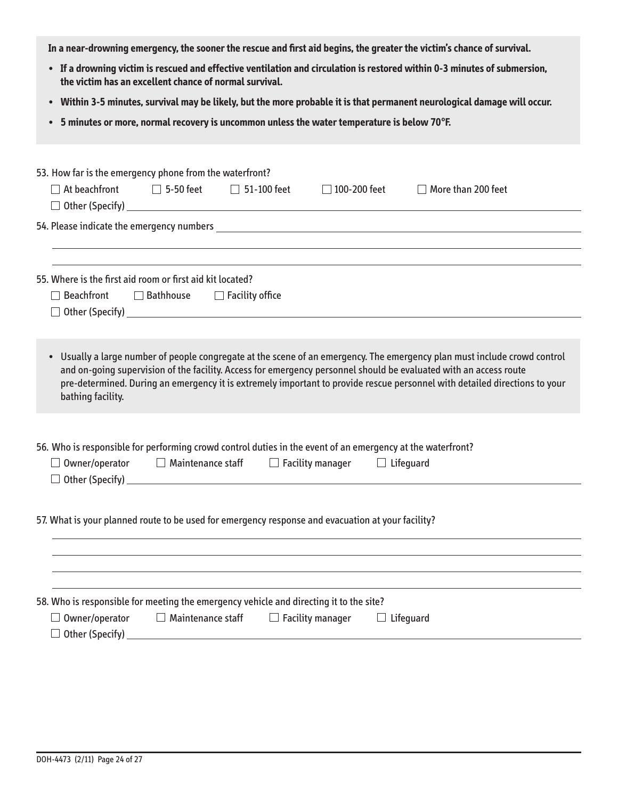**In a near-drowning emergency, the sooner the rescue and first aid begins, the greater the victim's chance of survival.** 

- **•** � **If a drowning victim is rescued and effective ventilation and circulation is restored within 0-3 minutes of submersion, the victim has an excellent chance of normal survival.**
- **•** � **Within 3-5 minutes, survival may be likely, but the more probable it is that permanent neurological damage will occur.**
- **•** � **5 minutes or more, normal recovery is uncommon unless the water temperature is below 70°F.**

| 53. How far is the emergency phone from the waterfront?                                                                                                                                                                                                                                                                                                                                           |                          |  |                                                                              |                                                                                                                                                                                                                                |
|---------------------------------------------------------------------------------------------------------------------------------------------------------------------------------------------------------------------------------------------------------------------------------------------------------------------------------------------------------------------------------------------------|--------------------------|--|------------------------------------------------------------------------------|--------------------------------------------------------------------------------------------------------------------------------------------------------------------------------------------------------------------------------|
|                                                                                                                                                                                                                                                                                                                                                                                                   |                          |  | $\Box$ At beachfront $\Box$ 5-50 feet $\Box$ 51-100 feet $\Box$ 100-200 feet | $\Box$ More than 200 feet                                                                                                                                                                                                      |
|                                                                                                                                                                                                                                                                                                                                                                                                   |                          |  |                                                                              |                                                                                                                                                                                                                                |
|                                                                                                                                                                                                                                                                                                                                                                                                   |                          |  |                                                                              | 54. Please indicate the emergency numbers example to the contract of the contract of the contract of the contract of the contract of the contract of the contract of the contract of the contract of the contract of the contr |
|                                                                                                                                                                                                                                                                                                                                                                                                   |                          |  |                                                                              | <u> 1989 - Johann Stoff, amerikansk politiker (d. 1989)</u>                                                                                                                                                                    |
|                                                                                                                                                                                                                                                                                                                                                                                                   |                          |  |                                                                              |                                                                                                                                                                                                                                |
| 55. Where is the first aid room or first aid kit located?                                                                                                                                                                                                                                                                                                                                         |                          |  |                                                                              |                                                                                                                                                                                                                                |
| $\Box$ Beachfront $\Box$ Bathhouse $\Box$ Facility office                                                                                                                                                                                                                                                                                                                                         |                          |  |                                                                              |                                                                                                                                                                                                                                |
|                                                                                                                                                                                                                                                                                                                                                                                                   |                          |  |                                                                              |                                                                                                                                                                                                                                |
|                                                                                                                                                                                                                                                                                                                                                                                                   |                          |  |                                                                              |                                                                                                                                                                                                                                |
| • Usually a large number of people congregate at the scene of an emergency. The emergency plan must include crowd control<br>and on-going supervision of the facility. Access for emergency personnel should be evaluated with an access route<br>pre-determined. During an emergency it is extremely important to provide rescue personnel with detailed directions to your<br>bathing facility. |                          |  |                                                                              |                                                                                                                                                                                                                                |
| 56. Who is responsible for performing crowd control duties in the event of an emergency at the waterfront?<br>$\Box$ Owner/operator $\Box$ Maintenance staff $\Box$ Facility manager $\Box$ Lifequard<br>$\Box$ Other (Specify) $\Box$                                                                                                                                                            |                          |  |                                                                              |                                                                                                                                                                                                                                |
|                                                                                                                                                                                                                                                                                                                                                                                                   |                          |  |                                                                              |                                                                                                                                                                                                                                |
| 57. What is your planned route to be used for emergency response and evacuation at your facility?                                                                                                                                                                                                                                                                                                 |                          |  |                                                                              |                                                                                                                                                                                                                                |
|                                                                                                                                                                                                                                                                                                                                                                                                   |                          |  |                                                                              |                                                                                                                                                                                                                                |
|                                                                                                                                                                                                                                                                                                                                                                                                   |                          |  |                                                                              |                                                                                                                                                                                                                                |
|                                                                                                                                                                                                                                                                                                                                                                                                   |                          |  |                                                                              |                                                                                                                                                                                                                                |
| 58. Who is responsible for meeting the emergency vehicle and directing it to the site?                                                                                                                                                                                                                                                                                                            |                          |  |                                                                              |                                                                                                                                                                                                                                |
| $\Box$ Owner/operator                                                                                                                                                                                                                                                                                                                                                                             | $\Box$ Maintenance staff |  | $\Box$ Facility manager $\Box$ Lifeguard                                     |                                                                                                                                                                                                                                |
| $\Box$ Other (Specify)                                                                                                                                                                                                                                                                                                                                                                            |                          |  |                                                                              |                                                                                                                                                                                                                                |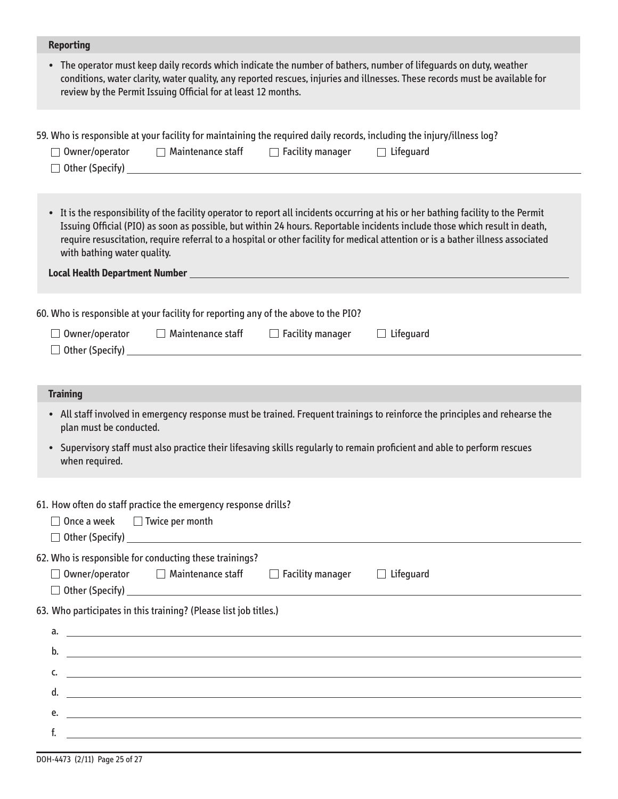# **Reporting**

• The operator must keep daily records which indicate the number of bathers, number of lifeguards on duty, weather conditions, water clarity, water quality, any reported rescues, injuries and illnesses . These records must be available for review by the Permit Issuing Official for at least 12 months .

|                                                                                                                                                        |                                                                                                                                           | $\Box$ Owner/operator $\Box$ Maintenance staff $\Box$ Facility manager $\Box$ Lifequard                                                           |  | 59. Who is responsible at your facility for maintaining the required daily records, including the injury/illness log?                                                                                                                                                                                                                                                                               |  |
|--------------------------------------------------------------------------------------------------------------------------------------------------------|-------------------------------------------------------------------------------------------------------------------------------------------|---------------------------------------------------------------------------------------------------------------------------------------------------|--|-----------------------------------------------------------------------------------------------------------------------------------------------------------------------------------------------------------------------------------------------------------------------------------------------------------------------------------------------------------------------------------------------------|--|
|                                                                                                                                                        | with bathing water quality.                                                                                                               |                                                                                                                                                   |  | • It is the responsibility of the facility operator to report all incidents occurring at his or her bathing facility to the Permit<br>Issuing Official (PIO) as soon as possible, but within 24 hours. Reportable incidents include those which result in death,<br>require resuscitation, require referral to a hospital or other facility for medical attention or is a bather illness associated |  |
|                                                                                                                                                        |                                                                                                                                           | 60. Who is responsible at your facility for reporting any of the above to the PIO?                                                                |  |                                                                                                                                                                                                                                                                                                                                                                                                     |  |
|                                                                                                                                                        |                                                                                                                                           | $\Box$ Owner/operator $\Box$ Maintenance staff $\Box$ Facility manager<br>$\Box$ Other (Specify) $\Box$                                           |  | $\Box$ Lifeguard                                                                                                                                                                                                                                                                                                                                                                                    |  |
|                                                                                                                                                        |                                                                                                                                           |                                                                                                                                                   |  |                                                                                                                                                                                                                                                                                                                                                                                                     |  |
| <b>Training</b>                                                                                                                                        |                                                                                                                                           |                                                                                                                                                   |  |                                                                                                                                                                                                                                                                                                                                                                                                     |  |
| • All staff involved in emergency response must be trained. Frequent trainings to reinforce the principles and rehearse the<br>plan must be conducted. |                                                                                                                                           |                                                                                                                                                   |  |                                                                                                                                                                                                                                                                                                                                                                                                     |  |
|                                                                                                                                                        | Supervisory staff must also practice their lifesaving skills regularly to remain proficient and able to perform rescues<br>when required. |                                                                                                                                                   |  |                                                                                                                                                                                                                                                                                                                                                                                                     |  |
|                                                                                                                                                        |                                                                                                                                           | 61. How often do staff practice the emergency response drills?<br>$\Box$ Once a week $\Box$ Twice per month                                       |  |                                                                                                                                                                                                                                                                                                                                                                                                     |  |
|                                                                                                                                                        |                                                                                                                                           | 62. Who is responsible for conducting these trainings?<br>$\Box$ Owner/operator $\Box$ Maintenance staff $\Box$ Facility manager $\Box$ Lifeguard |  |                                                                                                                                                                                                                                                                                                                                                                                                     |  |
| $\Box$ Other (Specify)<br>63. Who participates in this training? (Please list job titles.)                                                             |                                                                                                                                           |                                                                                                                                                   |  |                                                                                                                                                                                                                                                                                                                                                                                                     |  |
| a.                                                                                                                                                     |                                                                                                                                           |                                                                                                                                                   |  | <u> 1999 - Jan Samuel Barbara, martin da shekara ta 1999 - Andrea Samuel Barbara, marka ta 1999 - Andrea Samuel B</u>                                                                                                                                                                                                                                                                               |  |
| b.                                                                                                                                                     |                                                                                                                                           |                                                                                                                                                   |  | <u> 1989 - Johann Stein, markin sanadi masjid ayyukara sa masjid ayyukara sa masjid ayyukara sa masjid ayyukara s</u>                                                                                                                                                                                                                                                                               |  |
| c.                                                                                                                                                     |                                                                                                                                           |                                                                                                                                                   |  | <u> 1989 - Jan Samuel Barbara, martin a shekara tsara 1989 - An tsara 1989 - An tsara 1989 - An tsara 1989 - An t</u>                                                                                                                                                                                                                                                                               |  |
| d.                                                                                                                                                     |                                                                                                                                           |                                                                                                                                                   |  |                                                                                                                                                                                                                                                                                                                                                                                                     |  |
| e.                                                                                                                                                     |                                                                                                                                           |                                                                                                                                                   |  | <u>some started and the started and the started and the started and the started and the started and the started and the started and the started and the started and the started and the started and the started and the started </u>                                                                                                                                                                |  |
| f.                                                                                                                                                     |                                                                                                                                           | <u> 1989 - Johann Barn, fransk politik formuler (d. 1989)</u>                                                                                     |  |                                                                                                                                                                                                                                                                                                                                                                                                     |  |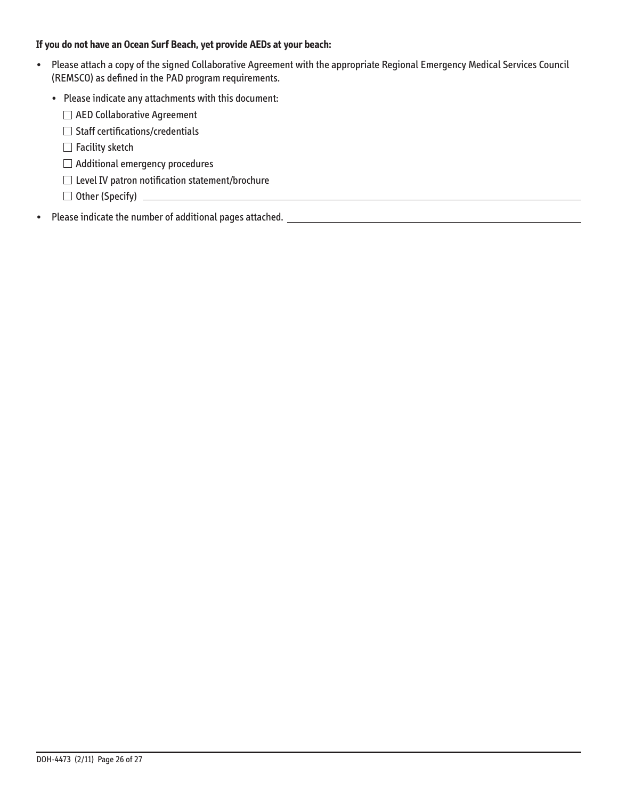## **If you do not have an Ocean Surf Beach, yet provide AEDs at your beach:**

- • � Please attach a copy of the signed Collaborative Agreement with the appropriate Regional Emergency Medical Services Council (REMSCO) as defined in the PAD program requirements.
	- Please indicate any attachments with this document:
		- AED Collaborative Agreement
		- $\Box$  Staff certifications/credentials
		- $\Box$  Facility sketch
		- $\Box$  Additional emergency procedures
		- $\square$  Level IV patron notification statement/brochure
		- Other (Specify) �
- Please indicate the number of additional pages attached. **All any of the set of the set of the set of the set of the set of the set of the set of the set of the set of the set of the set of the set of the set of the set**